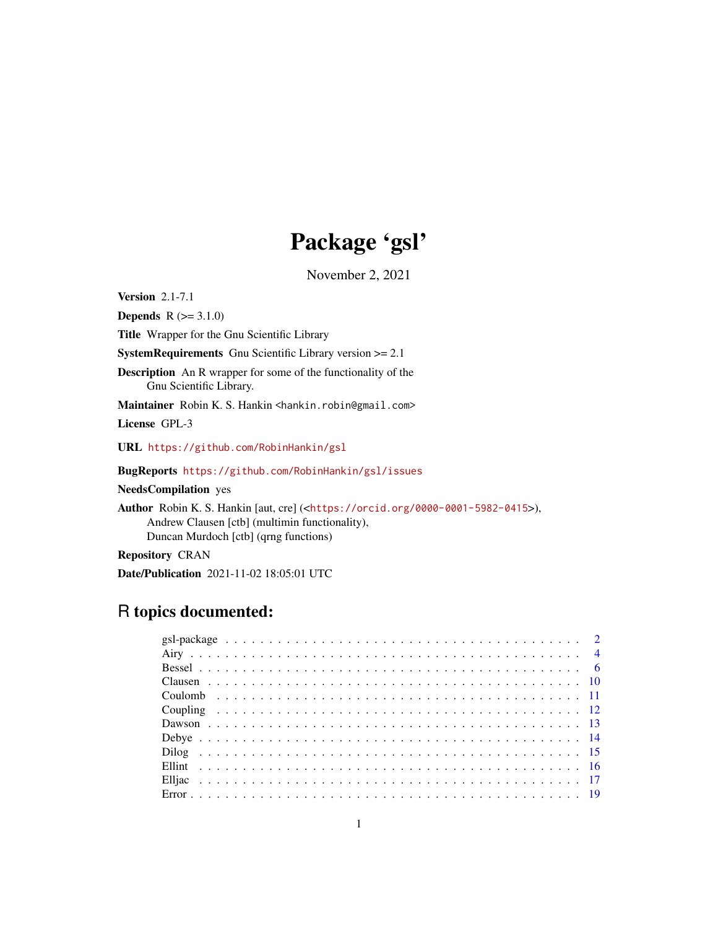# Package 'gsl'

November 2, 2021

Version 2.1-7.1

**Depends**  $R (= 3.1.0)$ 

Title Wrapper for the Gnu Scientific Library

SystemRequirements Gnu Scientific Library version >= 2.1

Description An R wrapper for some of the functionality of the Gnu Scientific Library.

Maintainer Robin K. S. Hankin <hankin.robin@gmail.com>

License GPL-3

URL <https://github.com/RobinHankin/gsl>

BugReports <https://github.com/RobinHankin/gsl/issues>

NeedsCompilation yes

Author Robin K. S. Hankin [aut, cre] (<<https://orcid.org/0000-0001-5982-0415>>), Andrew Clausen [ctb] (multimin functionality), Duncan Murdoch [ctb] (qrng functions)

Repository CRAN

Date/Publication 2021-11-02 18:05:01 UTC

# R topics documented: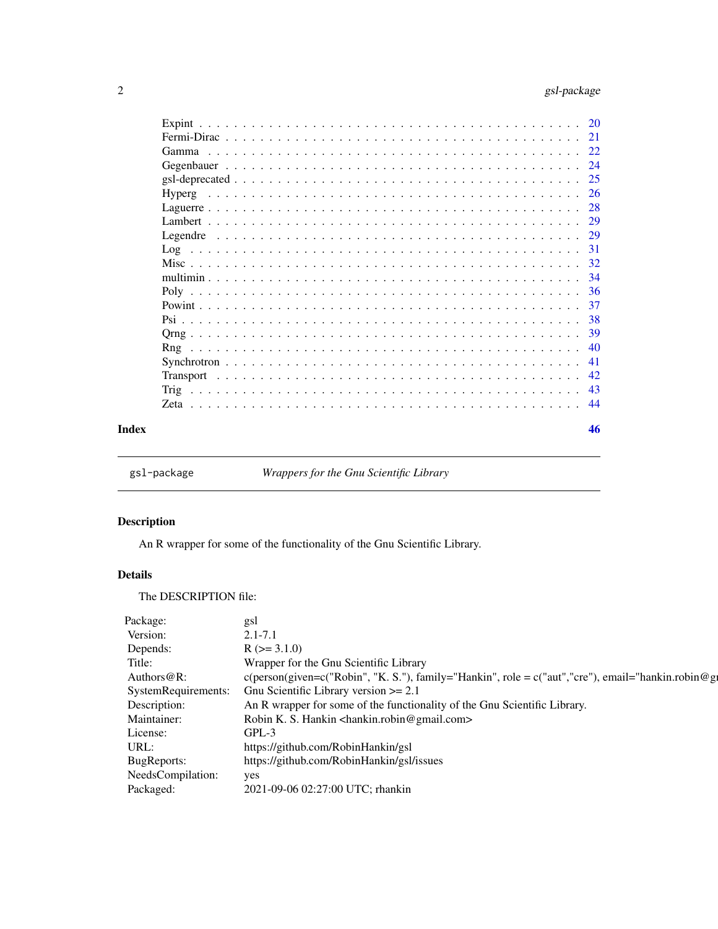<span id="page-1-0"></span>

|  |  |  |  |  |  |  |  |  |  |  |  |  |  | -39 |
|--|--|--|--|--|--|--|--|--|--|--|--|--|--|-----|
|  |  |  |  |  |  |  |  |  |  |  |  |  |  | 40  |
|  |  |  |  |  |  |  |  |  |  |  |  |  |  |     |
|  |  |  |  |  |  |  |  |  |  |  |  |  |  |     |
|  |  |  |  |  |  |  |  |  |  |  |  |  |  |     |
|  |  |  |  |  |  |  |  |  |  |  |  |  |  |     |
|  |  |  |  |  |  |  |  |  |  |  |  |  |  | 46  |

gsl-package *Wrappers for the Gnu Scientific Library*

# Description

An R wrapper for some of the functionality of the Gnu Scientific Library.

# Details

The DESCRIPTION file:

| Package:          | gsl                                                                                                          |
|-------------------|--------------------------------------------------------------------------------------------------------------|
| Version:          | $2.1 - 7.1$                                                                                                  |
| Depends:          | $R$ ( $>=$ 3.1.0)                                                                                            |
| Title:            | Wrapper for the Gnu Scientific Library                                                                       |
| Authors@R:        | $c(\text{person(given}=c("Robin", "K, S."), family="Hankin", role = c("aut", "cre"), email="hankin-robin@g"$ |
|                   | SystemRequirements: Gnu Scientific Library version >= 2.1                                                    |
| Description:      | An R wrapper for some of the functionality of the Gnu Scientific Library.                                    |
| Maintainer:       | Robin K. S. Hankin <hankin.robin@gmail.com></hankin.robin@gmail.com>                                         |
| License:          | GPL-3                                                                                                        |
| URL:              | https://github.com/RobinHankin/gsl                                                                           |
| BugReports:       | https://github.com/RobinHankin/gsl/issues                                                                    |
| NeedsCompilation: | yes                                                                                                          |
| Packaged:         | 2021-09-06 02:27:00 UTC; rhankin                                                                             |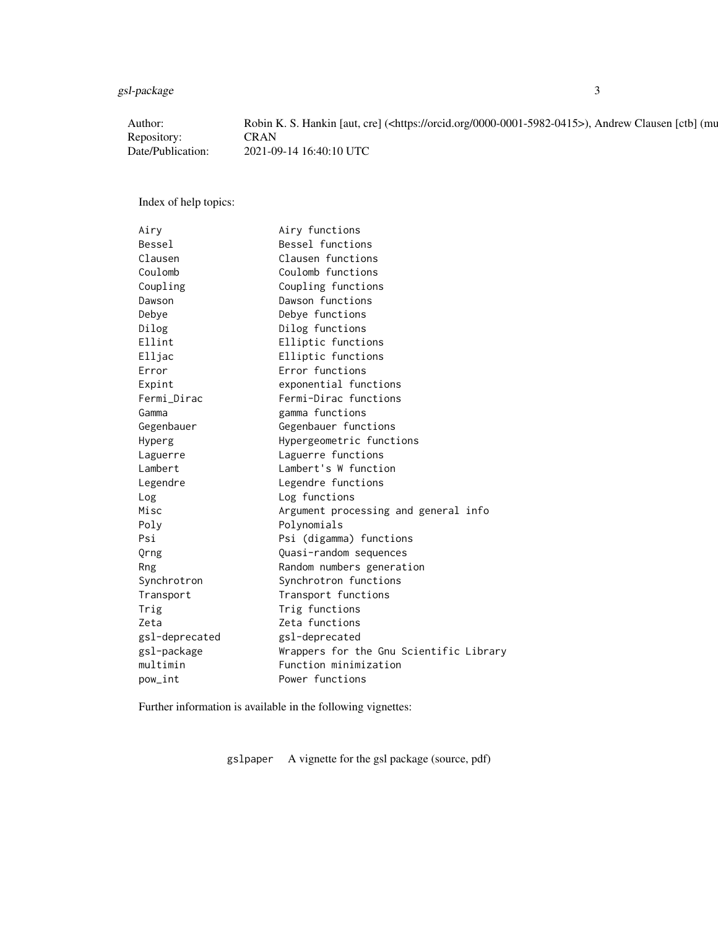gsl-package 3

| Author            | Robin K. S. Hankin [aut, cre] ( <https: 0000-0001-5982-0415="" orcid.org="">), Andrew Clausen [ctb] (mu</https:> |
|-------------------|------------------------------------------------------------------------------------------------------------------|
| Repository:       | <b>CRAN</b>                                                                                                      |
| Date/Publication: | 2021-09-14 16:40:10 UTC                                                                                          |

Index of help topics:

| Airy           | Airy functions                          |
|----------------|-----------------------------------------|
| Bessel         | Bessel functions                        |
| Clausen        | Clausen functions                       |
| Coulomb        | Coulomb functions                       |
| Coupling       | Coupling functions                      |
| Dawson         | Dawson functions                        |
| Debye          | Debye functions                         |
| Dilog          | Dilog functions                         |
| Ellint         | Elliptic functions                      |
| Elljac         | Elliptic functions                      |
| Error          | Error functions                         |
| Expint         | exponential functions                   |
| Fermi_Dirac    | Fermi-Dirac functions                   |
| Gamma          | gamma functions                         |
| Gegenbauer     | Gegenbauer functions                    |
| Hyperg         | Hypergeometric functions                |
| Laguerre       | Laguerre functions                      |
| Lambert        | Lambert's W function                    |
| Legendre       | Legendre functions                      |
| Log            | Log functions                           |
| Misc           | Argument processing and general info    |
| Poly           | Polynomials                             |
| Psi            | Psi (digamma) functions                 |
| Orng           | Quasi-random sequences                  |
| Rng            | Random numbers generation               |
| Synchrotron    | Synchrotron functions                   |
| Transport      | Transport functions                     |
| Trig           | Trig functions                          |
| Zeta           | Zeta functions                          |
| gsl-deprecated | gsl-deprecated                          |
| gsl-package    | Wrappers for the Gnu Scientific Library |
| multimin       | Function minimization                   |
| pow_int        | Power functions                         |

Further information is available in the following vignettes:

gslpaper A vignette for the gsl package (source, pdf)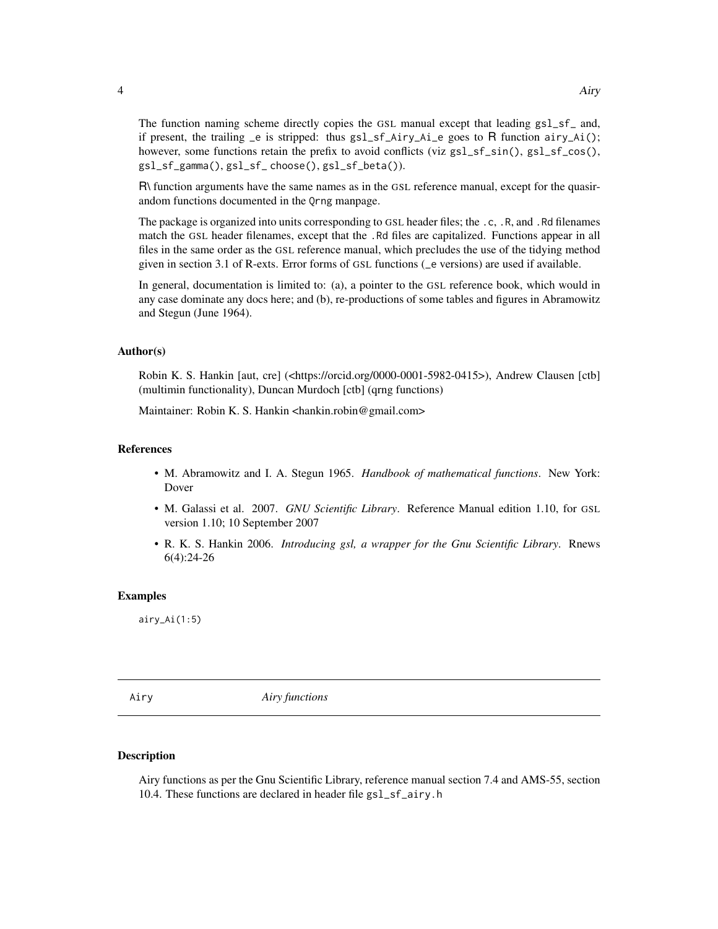The function naming scheme directly copies the GSL manual except that leading gsl\_sf\_ and, if present, the trailing \_e is stripped: thus gsl\_sf\_Airy\_Ai\_e goes to R function airy\_Ai(); however, some functions retain the prefix to avoid conflicts (viz gsl\_sf\_sin(), gsl\_sf\_cos(), gsl\_sf\_gamma(), gsl\_sf\_ choose(), gsl\_sf\_beta()).

R\ function arguments have the same names as in the GSL reference manual, except for the quasirandom functions documented in the Qrng manpage.

The package is organized into units corresponding to GSL header files; the .c, .R, and .Rd filenames match the GSL header filenames, except that the .Rd files are capitalized. Functions appear in all files in the same order as the GSL reference manual, which precludes the use of the tidying method given in section 3.1 of R-exts. Error forms of GSL functions (\_e versions) are used if available.

In general, documentation is limited to: (a), a pointer to the GSL reference book, which would in any case dominate any docs here; and (b), re-productions of some tables and figures in Abramowitz and Stegun (June 1964).

#### Author(s)

Robin K. S. Hankin [aut, cre] (<https://orcid.org/0000-0001-5982-0415>), Andrew Clausen [ctb] (multimin functionality), Duncan Murdoch [ctb] (qrng functions)

Maintainer: Robin K. S. Hankin <hankin.robin@gmail.com>

#### References

- M. Abramowitz and I. A. Stegun 1965. *Handbook of mathematical functions*. New York: Dover
- M. Galassi et al. 2007. *GNU Scientific Library*. Reference Manual edition 1.10, for GSL version 1.10; 10 September 2007
- R. K. S. Hankin 2006. *Introducing gsl, a wrapper for the Gnu Scientific Library*. Rnews 6(4):24-26

#### Examples

 $airy_Ai(1:5)$ 

Airy *Airy functions*

#### Description

Airy functions as per the Gnu Scientific Library, reference manual section 7.4 and AMS-55, section 10.4. These functions are declared in header file gsl\_sf\_airy.h

<span id="page-3-0"></span>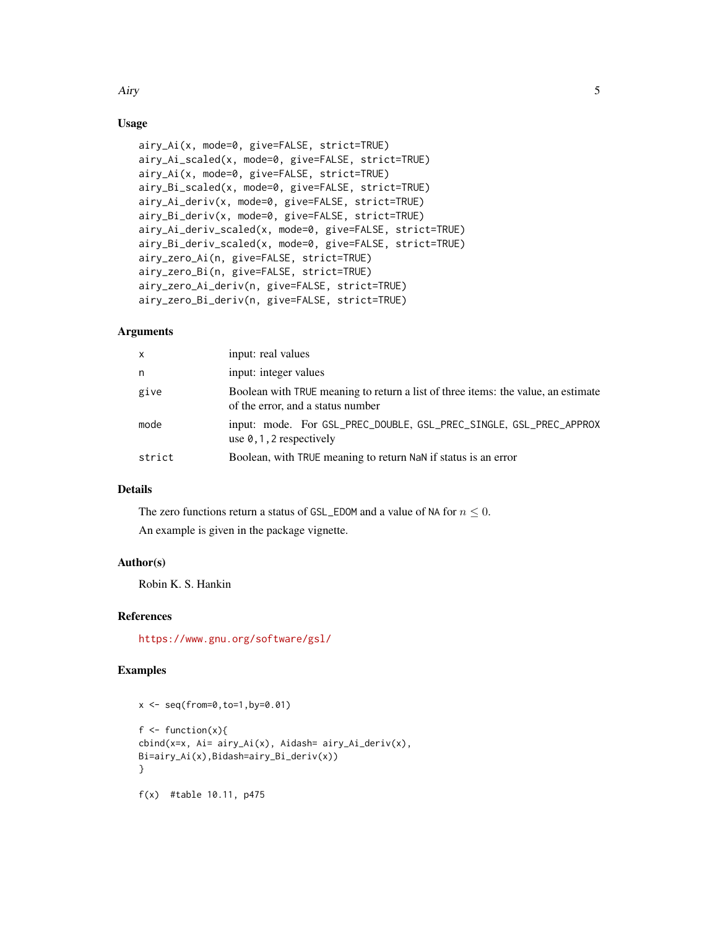# Airy 5

# Usage

```
airy_Ai(x, mode=0, give=FALSE, strict=TRUE)
airy_Ai_scaled(x, mode=0, give=FALSE, strict=TRUE)
airy_Ai(x, mode=0, give=FALSE, strict=TRUE)
airy_Bi_scaled(x, mode=0, give=FALSE, strict=TRUE)
airy_Ai_deriv(x, mode=0, give=FALSE, strict=TRUE)
airy_Bi_deriv(x, mode=0, give=FALSE, strict=TRUE)
airy_Ai_deriv_scaled(x, mode=0, give=FALSE, strict=TRUE)
airy_Bi_deriv_scaled(x, mode=0, give=FALSE, strict=TRUE)
airy_zero_Ai(n, give=FALSE, strict=TRUE)
airy_zero_Bi(n, give=FALSE, strict=TRUE)
airy_zero_Ai_deriv(n, give=FALSE, strict=TRUE)
airy_zero_Bi_deriv(n, give=FALSE, strict=TRUE)
```
# Arguments

| X      | input: real values                                                                                                     |
|--------|------------------------------------------------------------------------------------------------------------------------|
| n      | input: integer values                                                                                                  |
| give   | Boolean with TRUE meaning to return a list of three items: the value, an estimate<br>of the error, and a status number |
| mode   | input: mode. For GSL_PREC_DOUBLE, GSL_PREC_SINGLE, GSL_PREC_APPROX<br>use $\theta$ , 1, 2 respectively                 |
| strict | Boolean, with TRUE meaning to return NaN if status is an error                                                         |

# Details

The zero functions return a status of GSL\_EDOM and a value of NA for  $n \leq 0$ . An example is given in the package vignette.

#### Author(s)

Robin K. S. Hankin

#### References

<https://www.gnu.org/software/gsl/>

#### Examples

```
x \leq -\text{seq}(\text{from=0}, \text{to=1}, \text{by=0}.01)f \leftarrow function(x){
cbind(x=x, Ai= airy_Ai(x), Aidash= airy_Ai_deriv(x),
Bi=airy_Ai(x),Bidash=airy_Bi_deriv(x))
}
f(x) #table 10.11, p475
```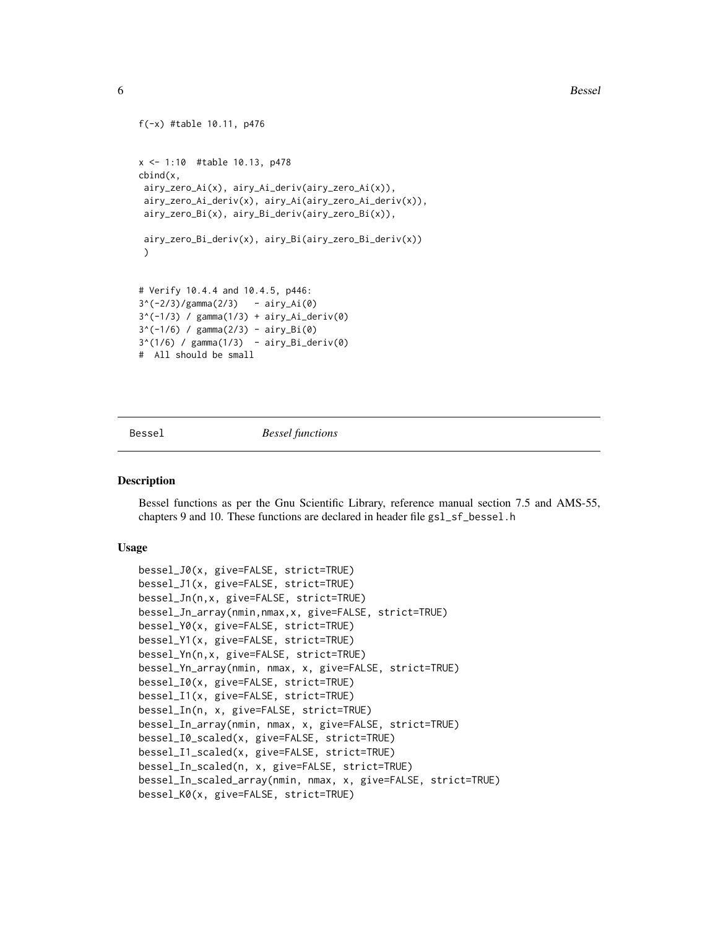6 Bessel

```
f(-x) #table 10.11, p476
x <- 1:10 #table 10.13, p478
cbind(x,
 airy_zero_Ai(x), airy_Ai_deriv(airy_zero_Ai(x)),
 airy_zero_Ai_deriv(x), airy_Ai(airy_zero_Ai_deriv(x)),
 airy_zero_Bi(x), airy_Bi_deriv(airy_zero_Bi(x)),
 airy_zero_Bi_deriv(x), airy_Bi(airy_zero_Bi_deriv(x))
 )
# Verify 10.4.4 and 10.4.5, p446:
3^*(-2/3)/gamma(2/3) - airy_Ai(0)
3^(-1/3) / gamma(1/3) + airy_Ai_deriv(0)
3^*(-1/6) / gamma(2/3) - airy_Bi(0)3^(1/6) / gamma(1/3) - airy_Bi_deriv(0)# All should be small
```
Bessel *Bessel functions*

#### Description

Bessel functions as per the Gnu Scientific Library, reference manual section 7.5 and AMS-55, chapters 9 and 10. These functions are declared in header file gsl\_sf\_bessel.h

# Usage

```
bessel_J0(x, give=FALSE, strict=TRUE)
bessel_J1(x, give=FALSE, strict=TRUE)
bessel_Jn(n,x, give=FALSE, strict=TRUE)
bessel_Jn_array(nmin,nmax,x, give=FALSE, strict=TRUE)
bessel_Y0(x, give=FALSE, strict=TRUE)
bessel_Y1(x, give=FALSE, strict=TRUE)
bessel_Yn(n,x, give=FALSE, strict=TRUE)
bessel_Yn_array(nmin, nmax, x, give=FALSE, strict=TRUE)
bessel_I0(x, give=FALSE, strict=TRUE)
bessel_I1(x, give=FALSE, strict=TRUE)
bessel_In(n, x, give=FALSE, strict=TRUE)
bessel_In_array(nmin, nmax, x, give=FALSE, strict=TRUE)
bessel_I0_scaled(x, give=FALSE, strict=TRUE)
bessel_I1_scaled(x, give=FALSE, strict=TRUE)
bessel_In_scaled(n, x, give=FALSE, strict=TRUE)
bessel_In_scaled_array(nmin, nmax, x, give=FALSE, strict=TRUE)
bessel_K0(x, give=FALSE, strict=TRUE)
```
<span id="page-5-0"></span>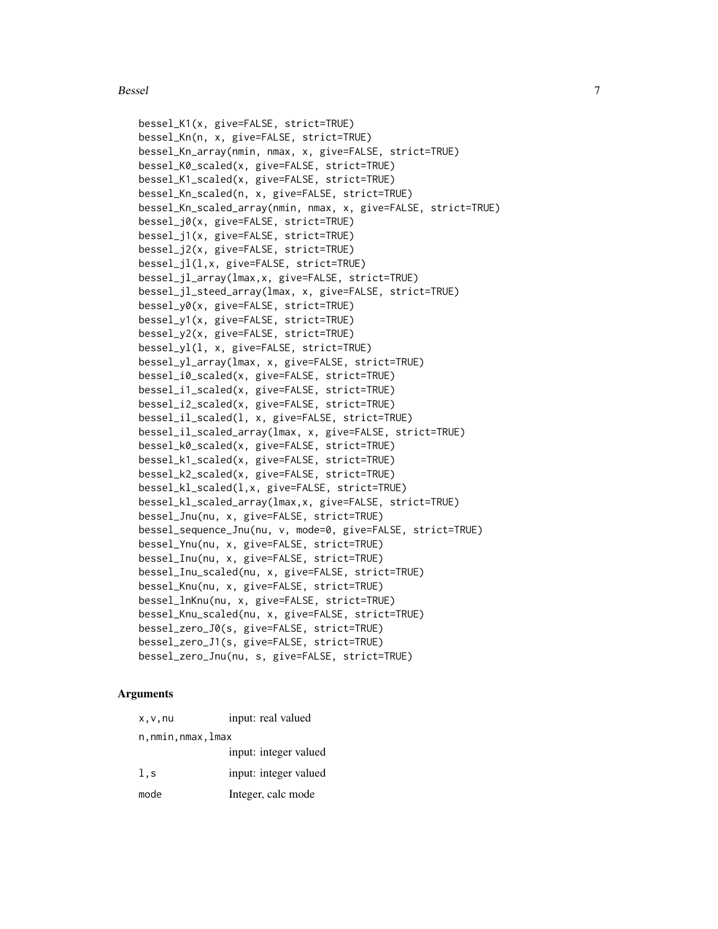#### Bessel 2008 and 2008 and 2008 and 2008 and 2008 and 2008 and 2008 and 2008 and 2008 and 2008 and 2008 and 2008 and 2008 and 2008 and 2008 and 2008 and 2008 and 2008 and 2008 and 2008 and 2008 and 2008 and 2008 and 2008 and

```
bessel_K1(x, give=FALSE, strict=TRUE)
bessel_Kn(n, x, give=FALSE, strict=TRUE)
bessel_Kn_array(nmin, nmax, x, give=FALSE, strict=TRUE)
bessel_K0_scaled(x, give=FALSE, strict=TRUE)
bessel_K1_scaled(x, give=FALSE, strict=TRUE)
bessel_Kn_scaled(n, x, give=FALSE, strict=TRUE)
bessel_Kn_scaled_array(nmin, nmax, x, give=FALSE, strict=TRUE)
bessel_j0(x, give=FALSE, strict=TRUE)
bessel_j1(x, give=FALSE, strict=TRUE)
bessel_j2(x, give=FALSE, strict=TRUE)
bessel_jl(l,x, give=FALSE, strict=TRUE)
bessel_jl_array(lmax,x, give=FALSE, strict=TRUE)
bessel_jl_steed_array(lmax, x, give=FALSE, strict=TRUE)
bessel_y0(x, give=FALSE, strict=TRUE)
bessel_y1(x, give=FALSE, strict=TRUE)
bessel_y2(x, give=FALSE, strict=TRUE)
bessel_yl(l, x, give=FALSE, strict=TRUE)
bessel_yl_array(lmax, x, give=FALSE, strict=TRUE)
bessel_i0_scaled(x, give=FALSE, strict=TRUE)
bessel_i1_scaled(x, give=FALSE, strict=TRUE)
bessel_i2_scaled(x, give=FALSE, strict=TRUE)
bessel_il_scaled(l, x, give=FALSE, strict=TRUE)
bessel_il_scaled_array(lmax, x, give=FALSE, strict=TRUE)
bessel_k0_scaled(x, give=FALSE, strict=TRUE)
bessel_k1_scaled(x, give=FALSE, strict=TRUE)
bessel_k2_scaled(x, give=FALSE, strict=TRUE)
bessel_kl_scaled(l,x, give=FALSE, strict=TRUE)
bessel_kl_scaled_array(lmax,x, give=FALSE, strict=TRUE)
bessel_Jnu(nu, x, give=FALSE, strict=TRUE)
bessel_sequence_Jnu(nu, v, mode=0, give=FALSE, strict=TRUE)
bessel_Ynu(nu, x, give=FALSE, strict=TRUE)
bessel_Inu(nu, x, give=FALSE, strict=TRUE)
bessel_Inu_scaled(nu, x, give=FALSE, strict=TRUE)
bessel_Knu(nu, x, give=FALSE, strict=TRUE)
bessel_lnKnu(nu, x, give=FALSE, strict=TRUE)
bessel_Knu_scaled(nu, x, give=FALSE, strict=TRUE)
bessel_zero_J0(s, give=FALSE, strict=TRUE)
bessel_zero_J1(s, give=FALSE, strict=TRUE)
bessel_zero_Jnu(nu, s, give=FALSE, strict=TRUE)
```
#### Arguments

| x, v, nu         | input: real valued    |
|------------------|-----------------------|
| n,nmin,nmax,lmax |                       |
|                  | input: integer valued |
| 1, s             | input: integer valued |
| mode             | Integer, calc mode    |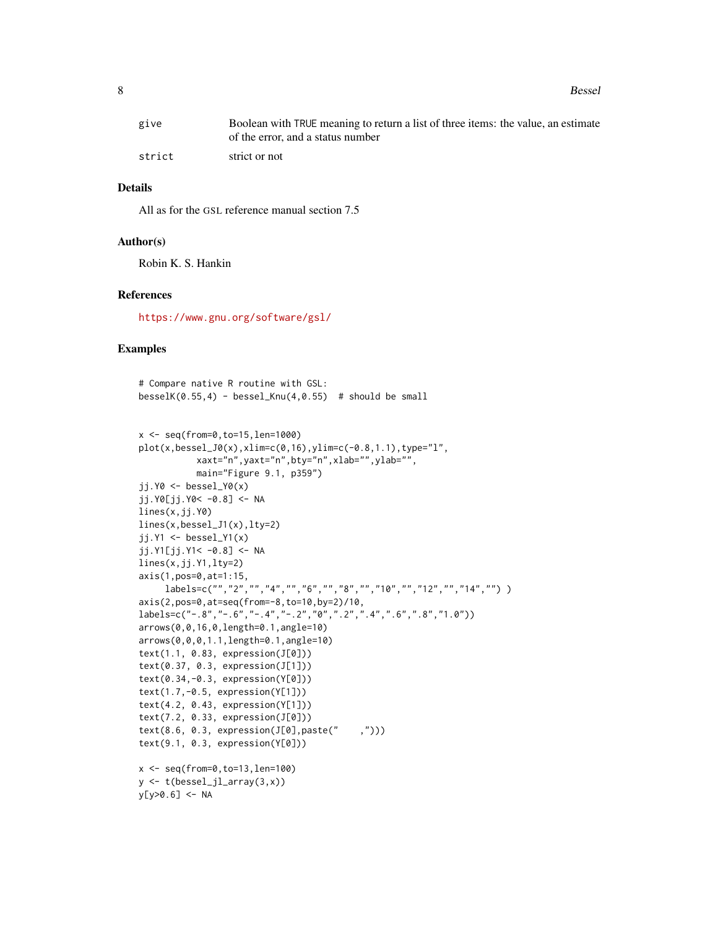8 Bessel

| give   | Boolean with TRUE meaning to return a list of three items: the value, an estimate |
|--------|-----------------------------------------------------------------------------------|
|        | of the error, and a status number                                                 |
| strict | strict or not                                                                     |

#### Details

All as for the GSL reference manual section 7.5

#### Author(s)

Robin K. S. Hankin

#### References

<https://www.gnu.org/software/gsl/>

#### Examples

```
# Compare native R routine with GSL:
besselK(0.55, 4) - bessel_Knu(4, 0.55) # should be small
x <- seq(from=0,to=15,len=1000)
plot(x,bessel_J0(x),xlim=c(0,16),ylim=c(-0.8,1.1),type="l",
           xaxt="n",yaxt="n",bty="n",xlab="",ylab="",
           main="Figure 9.1, p359")
ji.Y@ \leftarrow bessel_Y@(x)jj.Y0[jj.Y0< -0.8] <- NA
lines(x,jj.Y0)
lines(x,bessel_J1(x),lty=2)
jj.Y1 <- bessel_Y1(x)jj.Y1[j.Y1< -0.8] < -NAlines(x,jj.Y1,lty=2)
axis(1,pos=0,at=1:15,
     labels=c("","2","","4","","6","","8","","10","","12","","14","") )
axis(2,pos=0,at=seq(from=-8,to=10,by=2)/10,
labels=c("-.8","-.6","-.4","-.2","0",".2",".4",".6",".8","1.0"))
arrows(0,0,16,0,length=0.1,angle=10)
arrows(0,0,0,1.1,length=0.1,angle=10)
text(1.1, 0.83, expression(J[0]))
text(0.37, 0.3, expression(J[1]))
text(0.34,-0.3, expression(Y[0]))
text(1.7,-0.5, expression(Y[1]))
text(4.2, 0.43, expression(Y[1]))
text(7.2, 0.33, expression(J[0]))
text(8.6, 0.3, expression(J[0],paste(" ,")))
text(9.1, 0.3, expression(Y[0]))
x \leq -\text{seq}(\text{from=0}, \text{to=13}, \text{len=100})y \leftarrow t(bessel_jl_array(3,x))y[y>0.6] <- NA
```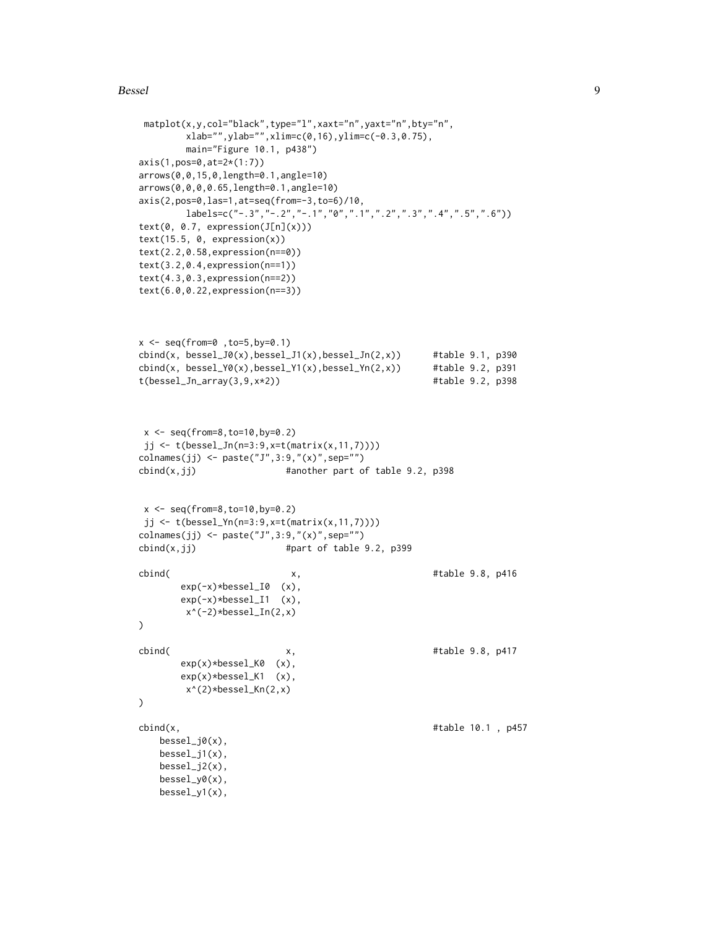#### Bessel and the set of the set of the set of the set of the set of the set of the set of the set of the set of the set of the set of the set of the set of the set of the set of the set of the set of the set of the set of th

```
matplot(x,y,col="black",type="l",xaxt="n",yaxt="n",bty="n",
        xlab="",ylab="",xlim=c(0,16),ylim=c(-0.3,0.75),
        main="Figure 10.1, p438")
axis(1,pos=0,at=2*(1:7))
arrows(0,0,15,0,length=0.1,angle=10)
arrows(0,0,0,0.65,length=0.1,angle=10)
axis(2,pos=0,las=1,at=seq(from=-3,to=6)/10,
        labeledsc("-.3", "-.2", "-.1", "0", ".1", ".2", "..3", "..4", ".5", "..6"))text(0, 0.7, expression(J[n](x)))text(15.5, 0, expression(x))text(2.2,0.58,expression(n==0))
text(3.2,0.4,expression(n==1))
text(4.3,0.3,expression(n==2))
text(6.0,0.22,expression(n==3))
x <- seq(from=0 ,to=5,by=0.1)
cbind(x, bessel_J0(x), bessel_J1(x), bessel_Jn(2,x)) #table 9.1, p390
cbind(x, bessel_Y0(x),bessel_Y1(x),bessel_Yn(2,x)) #table 9.2, p391
t(bessel_Jn_array(3,9,x*2)) #table 9.2, p398
x < - seq(from=8, to=10, by=0.2)
jj <- t(bessel_Jn(n=3:9,x=t(matrix(x,11,7))))
colnames(jj) <- paste("J",3:9,"(x)",sep="")
\text{cbind}(x,jj) #another part of table 9.2, p398
x \leq -\text{seq}(\text{from=8}, \text{to=10}, \text{by=0.2})jj <- t(bessel_Yn(n=3:9,x=t(matrix(x,11,7))))
colnames(jj) <- paste("J",3:9,"(x)",sep="")
\text{cbind}(x,jj) #part of table 9.2, p399
cbind( x, \qquad x, #table 9.8, p416
       exp(-x)*bessel_I0 (x),
       exp(-x)*bessel_I1 (x),
        x^*(-2)*bessel_In(2,x))
cbind( x, x, #table 9.8, p417
       exp(x)*bessel_K0 (x),
       exp(x)*bessel_K1 (x),
        x^(2)*bessel_Kn(2,x)
)
cbind(x, #table 10.1, p457
   bessel_j0(x),
   bessel_j1(x),
   bessel_j2(x),
   bessel_y0(x),
   bessel_y1(x),
```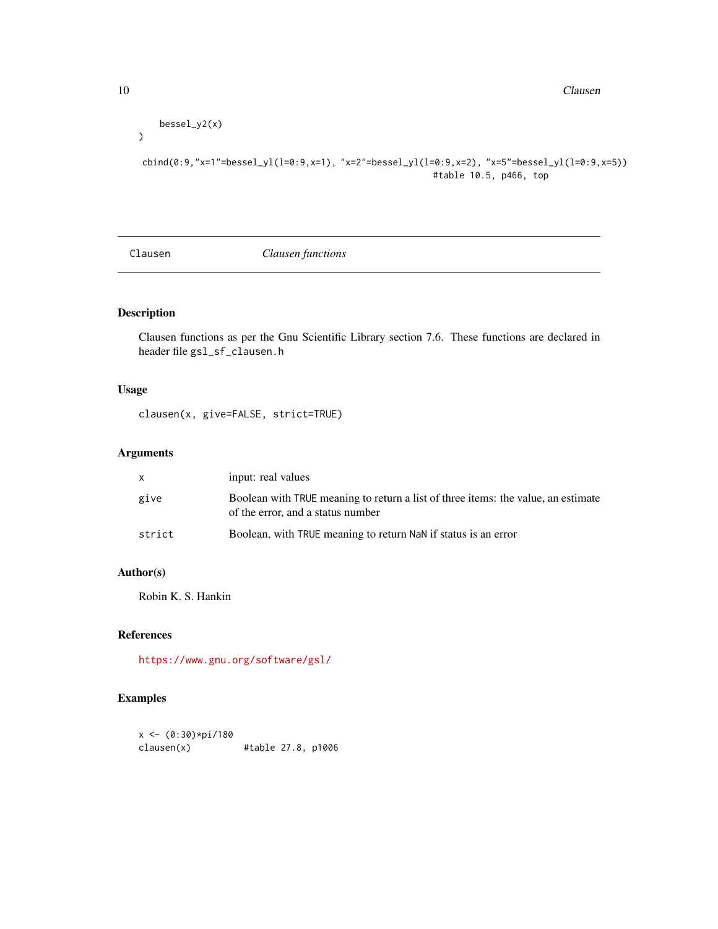```
bessel_y2(x)
```
cbind(0:9,"x=1"=bessel\_yl(l=0:9,x=1), "x=2"=bessel\_yl(l=0:9,x=2), "x=5"=bessel\_yl(l=0:9,x=5)) #table 10.5, p466, top

Clausen *Clausen functions*

# Description

Clausen functions as per the Gnu Scientific Library section 7.6. These functions are declared in header file gsl\_sf\_clausen.h

# Usage

clausen(x, give=FALSE, strict=TRUE)

# Arguments

|        | input: real values                                                                                                     |
|--------|------------------------------------------------------------------------------------------------------------------------|
| give   | Boolean with TRUE meaning to return a list of three items: the value, an estimate<br>of the error, and a status number |
| strict | Boolean, with TRUE meaning to return NaN if status is an error                                                         |

#### Author(s)

Robin K. S. Hankin

# References

<https://www.gnu.org/software/gsl/>

# Examples

```
x <- (0:30)*pi/180
clausen(x) #table 27.8, p1006
```
 $\mathcal{L}$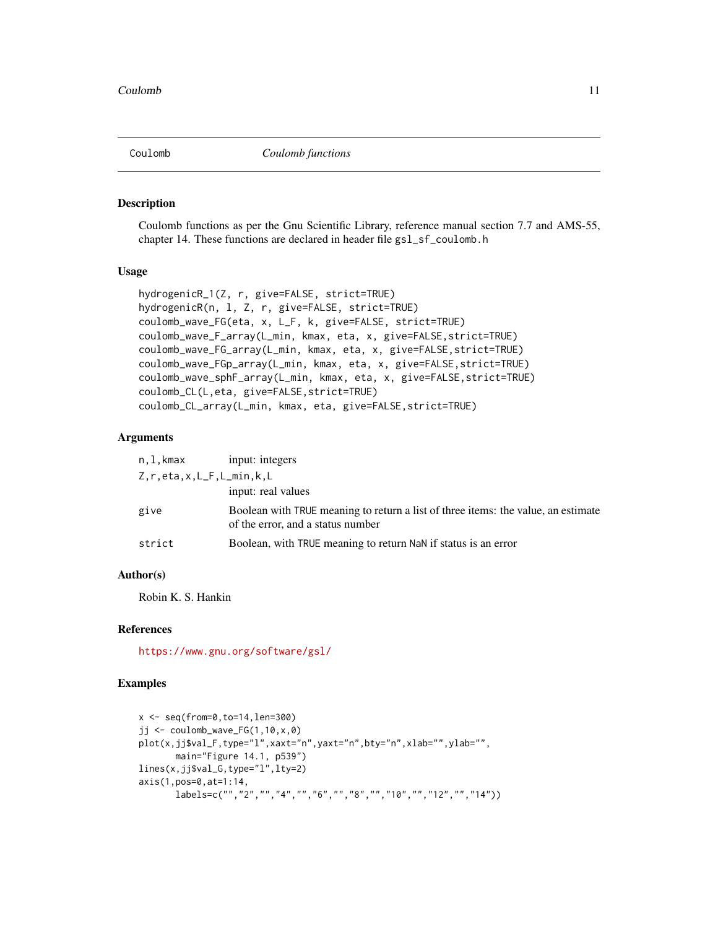<span id="page-10-0"></span>

#### Description

Coulomb functions as per the Gnu Scientific Library, reference manual section 7.7 and AMS-55, chapter 14. These functions are declared in header file gs1\_sf\_coulomb.h

#### Usage

```
hydrogenicR_1(Z, r, give=FALSE, strict=TRUE)
hydrogenicR(n, l, Z, r, give=FALSE, strict=TRUE)
coulomb_wave_FG(eta, x, L_F, k, give=FALSE, strict=TRUE)
coulomb_wave_F_array(L_min, kmax, eta, x, give=FALSE,strict=TRUE)
coulomb_wave_FG_array(L_min, kmax, eta, x, give=FALSE,strict=TRUE)
coulomb_wave_FGp_array(L_min, kmax, eta, x, give=FALSE,strict=TRUE)
coulomb_wave_sphF_array(L_min, kmax, eta, x, give=FALSE,strict=TRUE)
coulomb_CL(L,eta, give=FALSE,strict=TRUE)
coulomb_CL_array(L_min, kmax, eta, give=FALSE,strict=TRUE)
```
# Arguments

| n,l,kmax                         | input: integers                                                                                                        |
|----------------------------------|------------------------------------------------------------------------------------------------------------------------|
| $Z, r, eta, x, L_F, L_min, k, L$ |                                                                                                                        |
|                                  | input: real values                                                                                                     |
| give                             | Boolean with TRUE meaning to return a list of three items: the value, an estimate<br>of the error, and a status number |
| strict                           | Boolean, with TRUE meaning to return NaN if status is an error                                                         |

# Author(s)

Robin K. S. Hankin

#### References

<https://www.gnu.org/software/gsl/>

#### Examples

```
x \leq -\text{seq}(\text{from=0}, \text{to=14}, \text{len=300})jj \le coulomb_wave_FG(1,10,x,0)
plot(x,jj$val_F,type="l",xaxt="n",yaxt="n",bty="n",xlab="",ylab="",
       main="Figure 14.1, p539")
lines(x,jj$val_G,type="l",lty=2)
axis(1,pos=0,at=1:14,
       labels=c("","2","","4","","6","","8","","10","","12","","14"))
```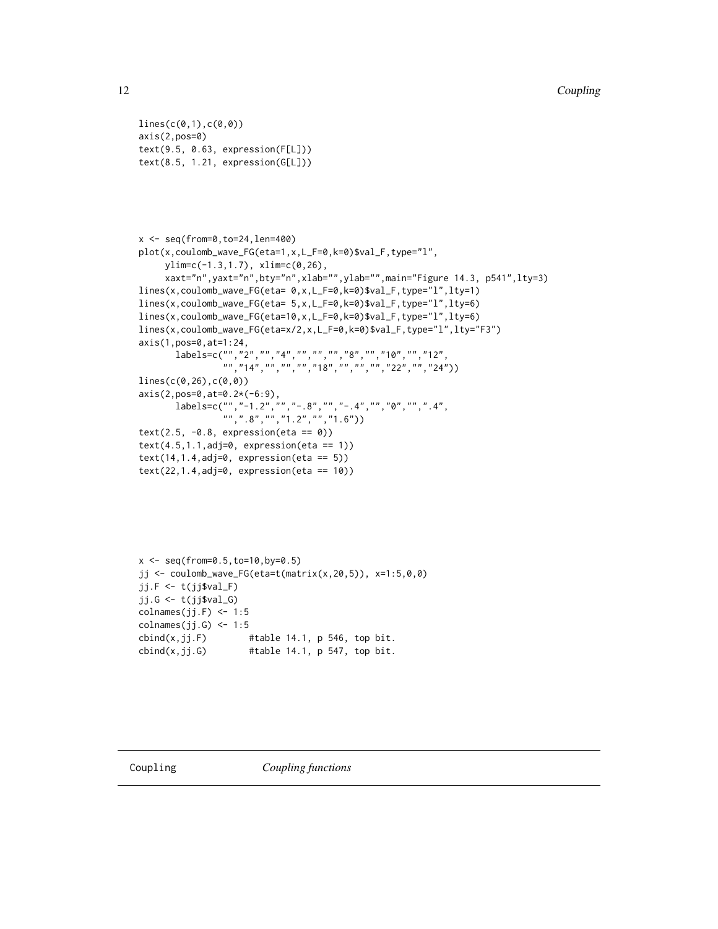```
lines(c(0,1),c(0,0))axis(2,pos=0)
text(9.5, 0.63, expression(F[L]))
text(8.5, 1.21, expression(G[L]))
```

```
x <- seq(from=0,to=24,len=400)
plot(x,coulomb_wave_FG(eta=1,x,L_F=0,k=0)$val_F,type="l",
      ylim=c(-1.3,1.7), xlim=c(0,26),
      xaxt="n",yaxt="n",bty="n",xlab="",ylab="",main="Figure 14.3, p541",lty=3)
lines(x,coulomb_wave_FG(eta= 0,x,L_F=0,k=0)$val_F,type="l",lty=1)
lines(x,coulomb_wave_FG(eta= 5,x,L_F=0,k=0)$val_F,type="l",lty=6)
lines(x,coulomb_wave_FG(eta=10,x,L_F=0,k=0)$val_F,type="l",lty=6)
lines(x,coulomb_wave_FG(eta=x/2,x,L_F=0,k=0)$val_F,type="l",lty="F3")
axis(1,pos=0,at=1:24,
        labels=c("","2","","4","","","","8","","10","","12",
                    "","14","","","","18","","","","22","","24"))
lines(c(0,26),c(0,0))
axis(2,pos=0,at=0.2*(-6:9),
        labels=c("","-1.2","","-.8","","-.4","","0","",".4",
                    \left( \begin{array}{c} m' \\ m' \\ m'' \end{array} \right), \left( \begin{array}{c} 8^n, \frac{n}{n}, \frac{n}{n}, \frac{n}{1} \end{array} \right), \left( \begin{array}{c} n' \\ n', \frac{n}{1} \end{array} \right), \left( \begin{array}{c} n' \\ n'' \end{array} \right)text(2.5, -0.8, expression(eta == 0))
text(4.5, 1.1, adj=0, expression (eta == 1))text(14, 1.4, adj=0, expression(eta == 5))text(22, 1.4, adj=0, expression (eta == 10))
```

```
x \leq - seq(from=0.5, to=10, by=0.5)
jj <- coulomb_wave_FG(eta=t(matrix(x,20,5)), x=1:5,0,0)
jj.F <- t(jj$val_F)
jj.G <- t(jj$val_G)
collnames(jj.F) < -1:5collnames(jj.G) \leq -1:5\text{cbind}(x,jj.F) #table 14.1, p 546, top bit.
cbind(x,jj.G) #table 14.1, p 547, top bit.
```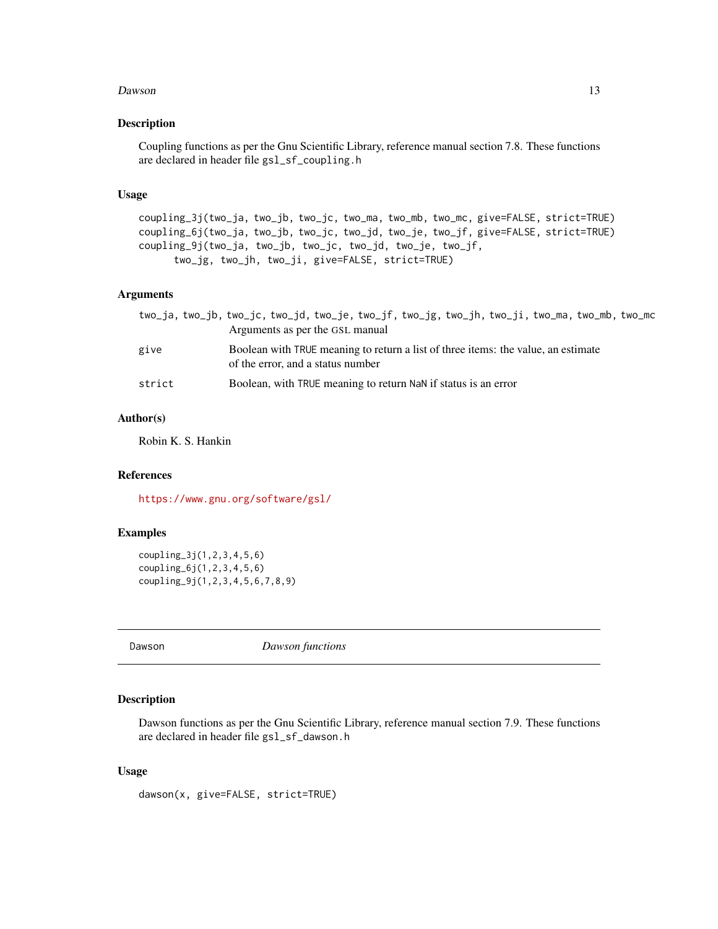#### <span id="page-12-0"></span> $Dawson$  13

# Description

Coupling functions as per the Gnu Scientific Library, reference manual section 7.8. These functions are declared in header file gsl\_sf\_coupling.h

#### Usage

coupling\_3j(two\_ja, two\_jb, two\_jc, two\_ma, two\_mb, two\_mc, give=FALSE, strict=TRUE) coupling\_6j(two\_ja, two\_jb, two\_jc, two\_jd, two\_je, two\_jf, give=FALSE, strict=TRUE) coupling\_9j(two\_ja, two\_jb, two\_jc, two\_jd, two\_je, two\_jf, two\_jg, two\_jh, two\_ji, give=FALSE, strict=TRUE)

#### Arguments

|        | two_ja, two_jb, two_jc, two_jd, two_je, two_jf, two_jg, two_jh, two_ji, two_ma, two_mb, two_mc<br>Arguments as per the GSL manual |
|--------|-----------------------------------------------------------------------------------------------------------------------------------|
| give   | Boolean with TRUE meaning to return a list of three items: the value, an estimate<br>of the error, and a status number            |
| strict | Boolean, with TRUE meaning to return NaN if status is an error                                                                    |

# Author(s)

Robin K. S. Hankin

# References

<https://www.gnu.org/software/gsl/>

#### Examples

```
coupling_3j(1,2,3,4,5,6)
coupling_6j(1,2,3,4,5,6)
coupling_9j(1,2,3,4,5,6,7,8,9)
```
Dawson *Dawson functions*

#### Description

Dawson functions as per the Gnu Scientific Library, reference manual section 7.9. These functions are declared in header file gsl\_sf\_dawson.h

#### Usage

dawson(x, give=FALSE, strict=TRUE)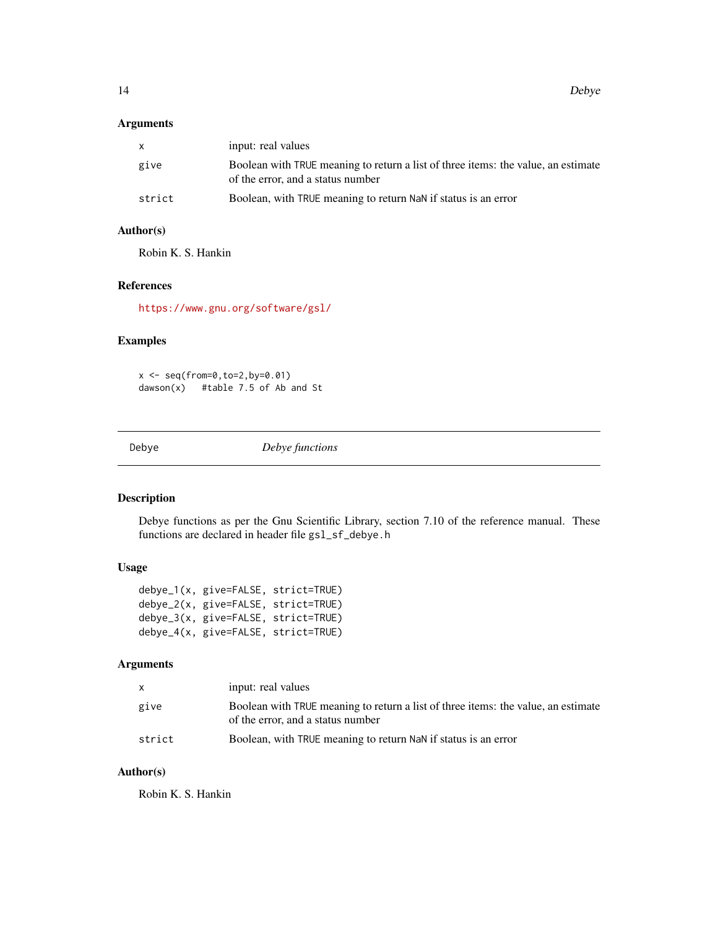<span id="page-13-0"></span>14 Debye

#### Arguments

| $\mathsf{x}$ | input: real values                                                                                                     |
|--------------|------------------------------------------------------------------------------------------------------------------------|
| give         | Boolean with TRUE meaning to return a list of three items: the value, an estimate<br>of the error, and a status number |
| strict       | Boolean, with TRUE meaning to return NaN if status is an error                                                         |

# Author(s)

Robin K. S. Hankin

#### References

<https://www.gnu.org/software/gsl/>

#### Examples

x <- seq(from=0,to=2,by=0.01) dawson(x) #table 7.5 of Ab and St

Debye *Debye functions*

# Description

Debye functions as per the Gnu Scientific Library, section 7.10 of the reference manual. These functions are declared in header file gsl\_sf\_debye.h

# Usage

debye\_1(x, give=FALSE, strict=TRUE) debye\_2(x, give=FALSE, strict=TRUE) debye\_3(x, give=FALSE, strict=TRUE) debye\_4(x, give=FALSE, strict=TRUE)

# Arguments

| $\mathsf{X}$ | input: real values                                                                                                     |
|--------------|------------------------------------------------------------------------------------------------------------------------|
| give         | Boolean with TRUE meaning to return a list of three items: the value, an estimate<br>of the error, and a status number |
| strict       | Boolean, with TRUE meaning to return NaN if status is an error                                                         |

# Author(s)

Robin K. S. Hankin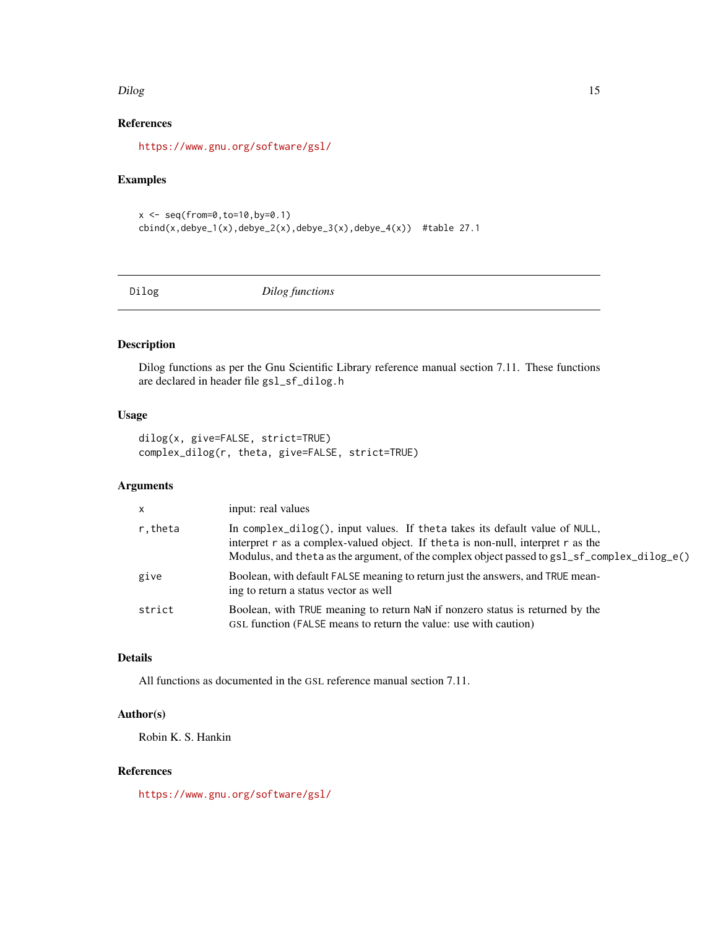#### <span id="page-14-0"></span>Dilog 2012 15

# References

<https://www.gnu.org/software/gsl/>

# Examples

```
x \le - seq(from=0, to=10, by=0.1)
cbind(x,debye_1(x),debye_2(x),debye_3(x),debye_4(x)) #table 27.1
```
Dilog *Dilog functions*

# Description

Dilog functions as per the Gnu Scientific Library reference manual section 7.11. These functions are declared in header file gsl\_sf\_dilog.h

#### Usage

```
dilog(x, give=FALSE, strict=TRUE)
complex_dilog(r, theta, give=FALSE, strict=TRUE)
```
# Arguments

| $\times$ | input: real values                                                                                                                                                                                                                                                                |
|----------|-----------------------------------------------------------------------------------------------------------------------------------------------------------------------------------------------------------------------------------------------------------------------------------|
| r,theta  | In complex_dilog(), input values. If theta takes its default value of NULL,<br>interpret $r$ as a complex-valued object. If the ta is non-null, interpret $r$ as the<br>Modulus, and the ta as the argument, of the complex object passed to $gs1_s-f_{\text{complex\_dilog}_e}($ |
| give     | Boolean, with default FALSE meaning to return just the answers, and TRUE mean-<br>ing to return a status vector as well                                                                                                                                                           |
| strict   | Boolean, with TRUE meaning to return NaN if nonzero status is returned by the<br>GSL function (FALSE means to return the value: use with caution)                                                                                                                                 |

# Details

All functions as documented in the GSL reference manual section 7.11.

# Author(s)

Robin K. S. Hankin

# References

<https://www.gnu.org/software/gsl/>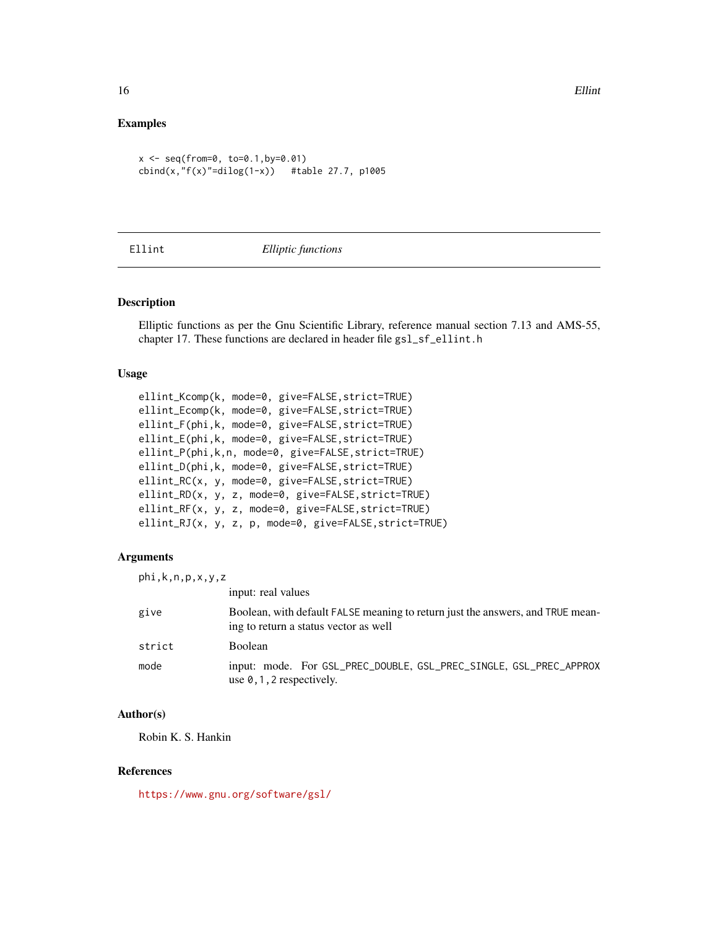#### Examples

```
x \le - seq(from=0, to=0.1,by=0.01)
cbind(x, "f(x)"=dilog(1-x)) #table 27.7, p1005
```
#### Ellint *Elliptic functions*

#### Description

Elliptic functions as per the Gnu Scientific Library, reference manual section 7.13 and AMS-55, chapter 17. These functions are declared in header file gsl\_sf\_ellint.h

#### Usage

```
ellint_Kcomp(k, mode=0, give=FALSE,strict=TRUE)
ellint_Ecomp(k, mode=0, give=FALSE,strict=TRUE)
ellint_F(phi,k, mode=0, give=FALSE,strict=TRUE)
ellint_E(phi,k, mode=0, give=FALSE,strict=TRUE)
ellint_P(phi,k,n, mode=0, give=FALSE,strict=TRUE)
ellint_D(phi,k, mode=0, give=FALSE,strict=TRUE)
ellint_RC(x, y, mode=0, give=FALSE,strict=TRUE)
ellint_RD(x, y, z, mode=0, give=FALSE,strict=TRUE)
ellint_RF(x, y, z, mode=0, give=FALSE,strict=TRUE)
ellint_RJ(x, y, z, p, mode=0, give=FALSE,strict=TRUE)
```
#### Arguments

| phi, k, n, p, x, y, z |                                                                                                                         |
|-----------------------|-------------------------------------------------------------------------------------------------------------------------|
|                       | input: real values                                                                                                      |
| give                  | Boolean, with default FALSE meaning to return just the answers, and TRUE mean-<br>ing to return a status vector as well |
| strict                | <b>Boolean</b>                                                                                                          |
| mode                  | input: mode. For GSL_PREC_DOUBLE, GSL_PREC_SINGLE, GSL_PREC_APPROX<br>use $\theta$ , 1, 2 respectively.                 |

### Author(s)

Robin K. S. Hankin

#### References

<https://www.gnu.org/software/gsl/>

<span id="page-15-0"></span>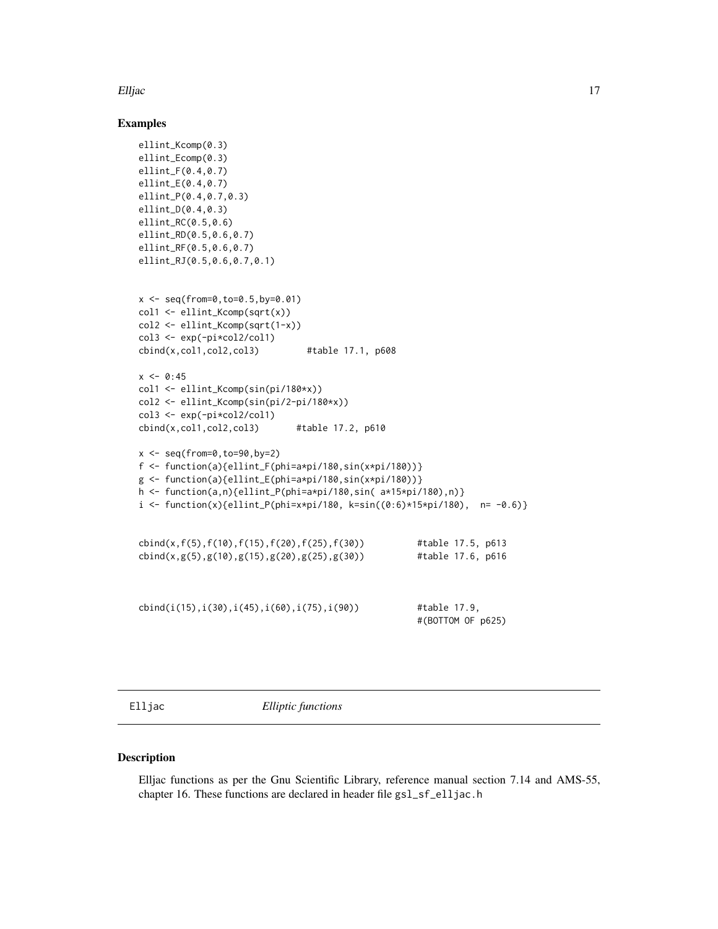<span id="page-16-0"></span>Elljac 17

#### Examples

```
ellint_Kcomp(0.3)
ellint_Ecomp(0.3)
ellint_F(0.4,0.7)
ellint_E(0.4,0.7)
ellint_P(0.4,0.7,0.3)
ellint_D(0.4,0.3)
ellint_RC(0.5,0.6)
ellint_RD(0.5,0.6,0.7)
ellint_RF(0.5,0.6,0.7)
ellint_RJ(0.5,0.6,0.7,0.1)
x \leq -\text{seq}(\text{from=0}, \text{to=0.5}, \text{by=0.01})col1 <- ellint_Kcomp(sqrt(x))
col2 <- ellint_Kcomp(sqrt(1-x))
col3 <- exp(-pi*col2/col1)
cbind(x,col1,col2,col3) #table 17.1, p608
x \le -0.45col1 <- ellint_Kcomp(sin(pi/180*x))
col2 <- ellint_Kcomp(sin(pi/2-pi/180*x))
col3 <- exp(-pi*col2/col1)
cbind(x, col1, col2, col3) #table 17.2, p610
x \leftarrow \text{seq}(\text{from=0}, \text{to=90}, \text{by=2})f <- function(a){ellint_F(phi=a*pi/180,sin(x*pi/180))}
g \leftarrow function(a){ellint_E(phi=a*pi/180,sin(x*pi/180))}
h <- function(a,n){ellint_P(phi=a*pi/180,sin( a*15*pi/180),n)}
i <- function(x){ellint_P(phi=x*pi/180, k=sin((0:6)*15*pi/180), n= -0.6)}
cbind(x,f(5),f(10),f(15),f(20),f(25),f(30)) #table 17.5, p613
cbind(x,g(5),g(10),g(15),g(20),g(25),g(30)) #table 17.6, p616
cbind(i(15),i(30),i(45),i(60),i(75),i(90)) #table 17.9,
                                                       #(BOTTOM OF p625)
```
Elljac *Elliptic functions*

#### Description

Elljac functions as per the Gnu Scientific Library, reference manual section 7.14 and AMS-55, chapter 16. These functions are declared in header file gsl\_sf\_elljac.h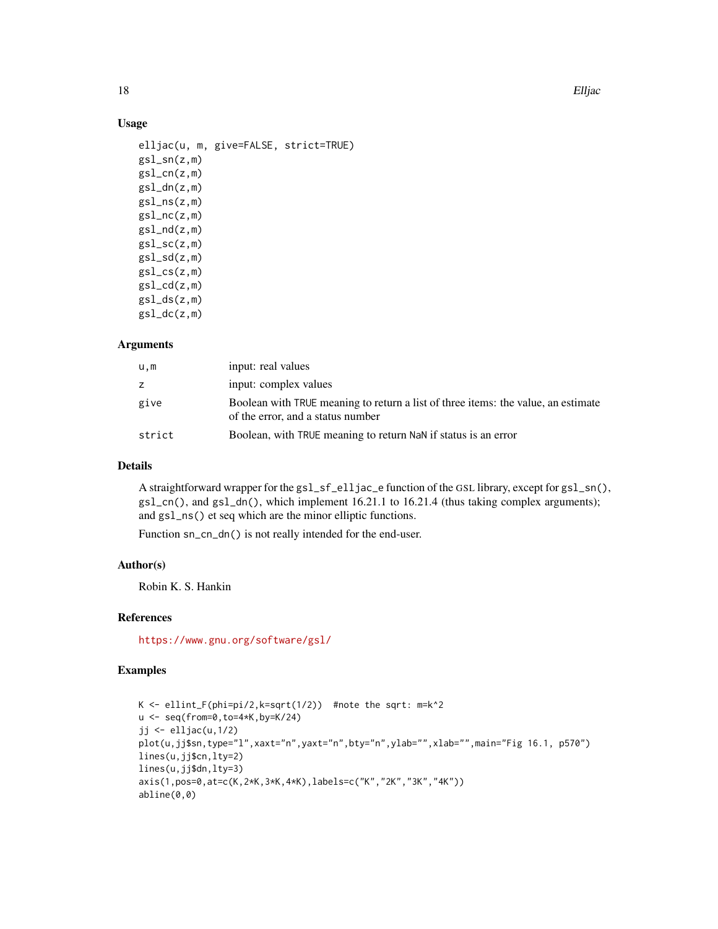18 Elljac

#### Usage

```
elljac(u, m, give=FALSE, strict=TRUE)
gsl_sn(z,m)
gsl_cnn(z,m)gsl_dn(z,m)
gsl_ns(z,m)
gsl_nc(z,m)gsl_nd(z,m)
gsl\_sc(z,m)gsl_sd(z,m)
gsl_css(z,m)gsl_cdd(z,m)gsl_ds(z,m)gsl_dc(z,m)
```
#### Arguments

| u,m    | input: real values                                                                                                     |
|--------|------------------------------------------------------------------------------------------------------------------------|
| Z.     | input: complex values                                                                                                  |
| give   | Boolean with TRUE meaning to return a list of three items: the value, an estimate<br>of the error, and a status number |
| strict | Boolean, with TRUE meaning to return NaN if status is an error                                                         |

# Details

A straightforward wrapper for the gsl\_sf\_elljac\_e function of the GSL library, except for gsl\_sn(), gsl\_cn(), and gsl\_dn(), which implement 16.21.1 to 16.21.4 (thus taking complex arguments); and gsl\_ns() et seq which are the minor elliptic functions.

Function sn\_cn\_dn() is not really intended for the end-user.

# Author(s)

Robin K. S. Hankin

# References

<https://www.gnu.org/software/gsl/>

# Examples

```
K <- ellint_F(phi=pi/2,k=sqrt(1/2)) #note the sqrt: m=k^2
u <- seq(from=0,to=4*K,by=K/24)
jj \leftarrowelljac(u, 1/2)plot(u,jj$sn,type="l",xaxt="n",yaxt="n",bty="n",ylab="",xlab="",main="Fig 16.1, p570")
lines(u,jj$cn,lty=2)
lines(u,jj$dn,lty=3)
axis(1,pos=0,at=c(K,2*K,3*K,4*K),labels=c("K","2K","3K","4K"))
abline(0,0)
```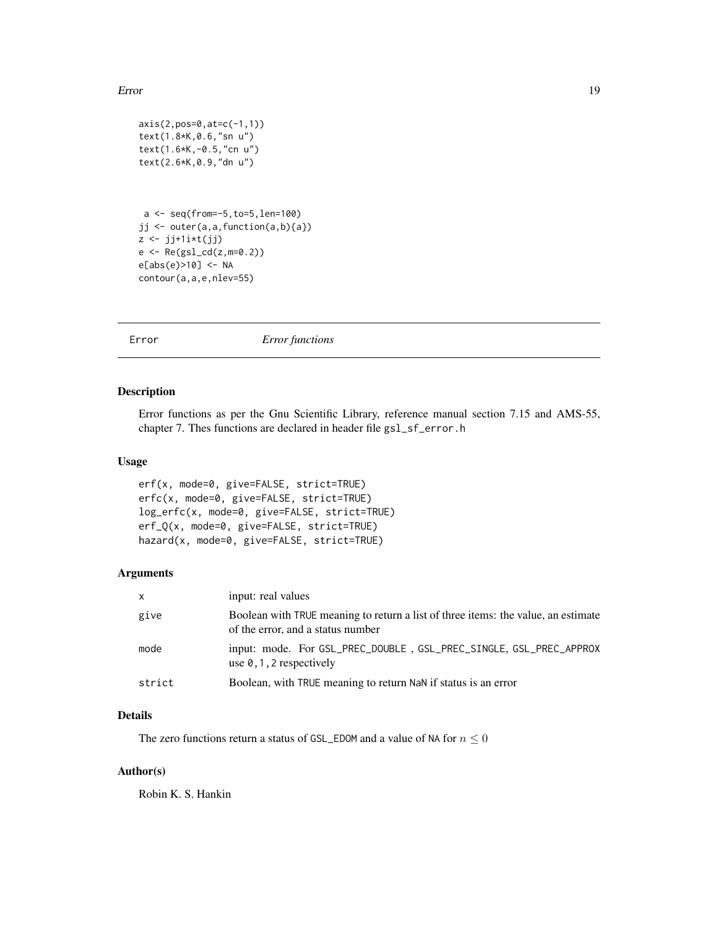#### <span id="page-18-0"></span>Error 19

```
axis(2,pos=0,at=c(-1,1))
text(1.8*K,0.6,"sn u")
text(1.6*K,-0.5,"cn u")
text(2.6*K,0.9,"dn u")
a <- seq(from=-5,to=5,len=100)
jj <- outer(a,a,function(a,b){a})
z \leftarrow jj+1i*t(jj)e \leftarrow Re(gsl_cdd(z,m=0.2))e[abs(e)>10] <- NA
contour(a,a,e,nlev=55)
```
Error *Error functions*

# Description

Error functions as per the Gnu Scientific Library, reference manual section 7.15 and AMS-55, chapter 7. Thes functions are declared in header file gsl\_sf\_error.h

#### Usage

```
erf(x, mode=0, give=FALSE, strict=TRUE)
erfc(x, mode=0, give=FALSE, strict=TRUE)
log_erfc(x, mode=0, give=FALSE, strict=TRUE)
erf_Q(x, mode=0, give=FALSE, strict=TRUE)
hazard(x, mode=0, give=FALSE, strict=TRUE)
```
# Arguments

| $\mathsf{x}$ | input: real values                                                                                                     |
|--------------|------------------------------------------------------------------------------------------------------------------------|
| give         | Boolean with TRUE meaning to return a list of three items: the value, an estimate<br>of the error, and a status number |
| mode         | input: mode. For GSL_PREC_DOUBLE, GSL_PREC_SINGLE, GSL_PREC_APPROX<br>use $\theta$ , 1, 2 respectively                 |
| strict       | Boolean, with TRUE meaning to return NaN if status is an error                                                         |

## Details

The zero functions return a status of GSL\_EDOM and a value of NA for  $n \leq 0$ 

#### Author(s)

Robin K. S. Hankin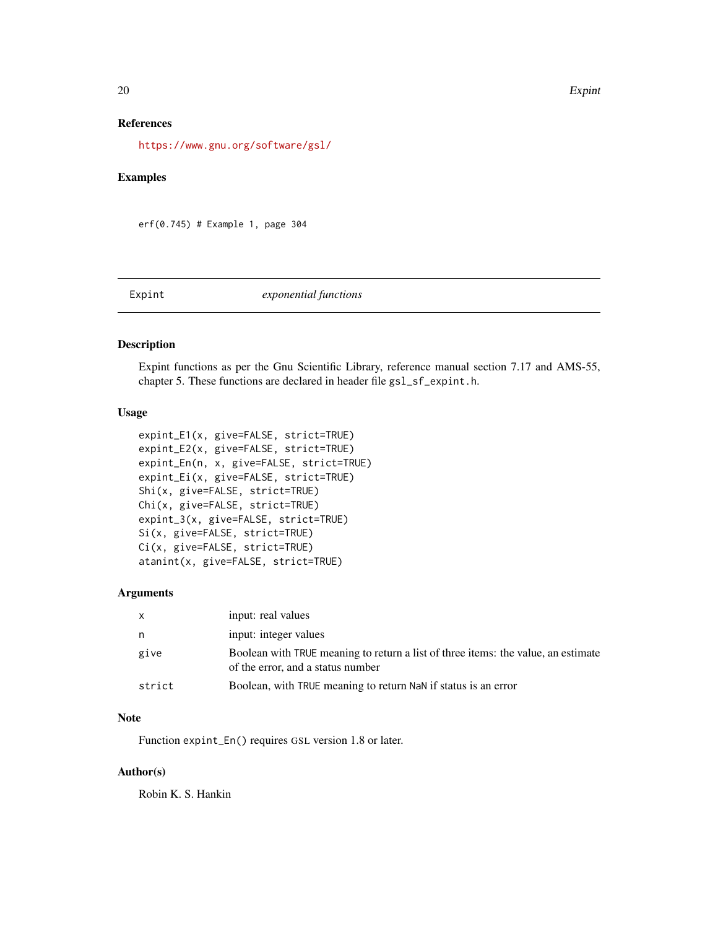#### 20 **Expint**

# References

<https://www.gnu.org/software/gsl/>

#### Examples

erf(0.745) # Example 1, page 304

Expint *exponential functions*

#### Description

Expint functions as per the Gnu Scientific Library, reference manual section 7.17 and AMS-55, chapter 5. These functions are declared in header file gsl\_sf\_expint.h.

# Usage

```
expint_E1(x, give=FALSE, strict=TRUE)
expint_E2(x, give=FALSE, strict=TRUE)
expint_En(n, x, give=FALSE, strict=TRUE)
expint_Ei(x, give=FALSE, strict=TRUE)
Shi(x, give=FALSE, strict=TRUE)
Chi(x, give=FALSE, strict=TRUE)
expint_3(x, give=FALSE, strict=TRUE)
Si(x, give=FALSE, strict=TRUE)
Ci(x, give=FALSE, strict=TRUE)
atanint(x, give=FALSE, strict=TRUE)
```
# Arguments

| $\mathsf{X}$ | input: real values                                                                                                     |
|--------------|------------------------------------------------------------------------------------------------------------------------|
| n,           | input: integer values                                                                                                  |
| give         | Boolean with TRUE meaning to return a list of three items: the value, an estimate<br>of the error, and a status number |
| strict       | Boolean, with TRUE meaning to return NaN if status is an error                                                         |

# Note

Function expint\_En() requires GSL version 1.8 or later.

#### Author(s)

Robin K. S. Hankin

<span id="page-19-0"></span>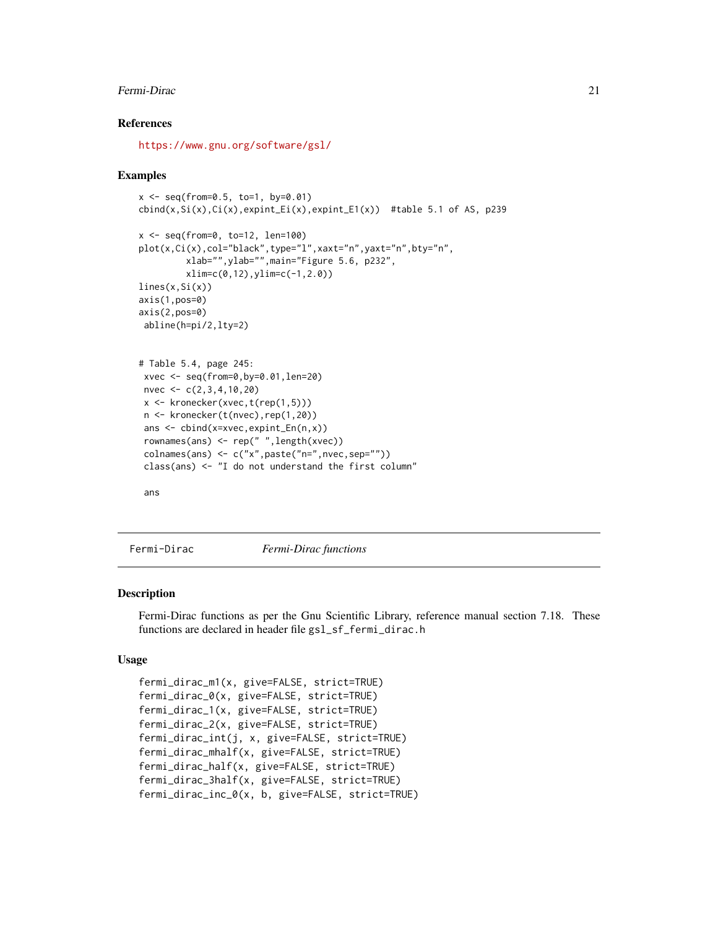#### <span id="page-20-0"></span>Fermi-Dirac 21

### References

<https://www.gnu.org/software/gsl/>

#### Examples

```
x \le - seq(from=0.5, to=1, by=0.01)
\text{cbind}(x,Si(x),Ci(x),expint_Ei(x),expint_E1(x)) #table 5.1 of AS, p239
x <- seq(from=0, to=12, len=100)
plot(x,Ci(x),col="black",type="l",xaxt="n",yaxt="n",bty="n",
         xlab="",ylab="",main="Figure 5.6, p232",
        xlim=c(0,12),ylim=c(-1,2.0))
lines(x,Si(x))axis(1,pos=0)
axis(2,pos=0)
abline(h=pi/2,lty=2)
# Table 5.4, page 245:
xvec <- seq(from=0,by=0.01,len=20)
nvec <- c(2,3,4,10,20)
x \leq kronecker(xvec,t(rep(1,5)))
n <- kronecker(t(nvec),rep(1,20))
ans <- cbind(x=xvec,expint_En(n,x))
rownames(ans) <- rep(" ",length(xvec))
colnames(ans) <- c("x",paste("n=",nvec,sep=""))
 class(ans) <- "I do not understand the first column"
 ans
```
Fermi-Dirac *Fermi-Dirac functions*

#### Description

Fermi-Dirac functions as per the Gnu Scientific Library, reference manual section 7.18. These functions are declared in header file gsl\_sf\_fermi\_dirac.h

#### Usage

```
fermi_dirac_m1(x, give=FALSE, strict=TRUE)
fermi_dirac_0(x, give=FALSE, strict=TRUE)
fermi_dirac_1(x, give=FALSE, strict=TRUE)
fermi_dirac_2(x, give=FALSE, strict=TRUE)
fermi_dirac_int(j, x, give=FALSE, strict=TRUE)
fermi_dirac_mhalf(x, give=FALSE, strict=TRUE)
fermi_dirac_half(x, give=FALSE, strict=TRUE)
fermi_dirac_3half(x, give=FALSE, strict=TRUE)
fermi_dirac_inc_0(x, b, give=FALSE, strict=TRUE)
```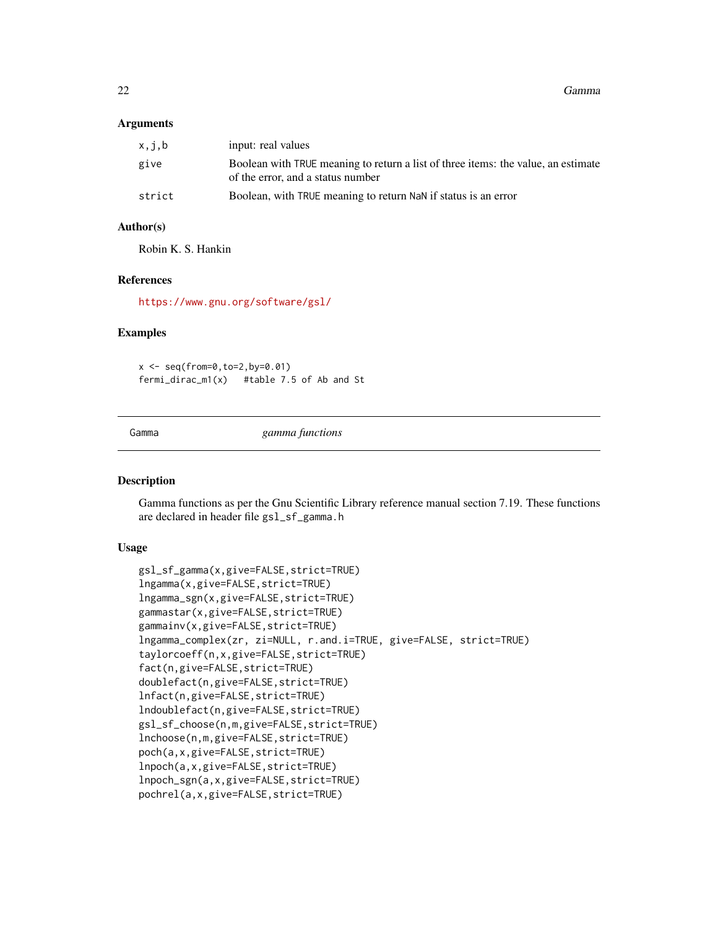<span id="page-21-0"></span>22 Gamma and the contract of the contract of the contract of the contract of the contract of the contract of the contract of the contract of the contract of the contract of the contract of the contract of the contract of t

#### **Arguments**

| x, j, b | input: real values                                                                                                     |
|---------|------------------------------------------------------------------------------------------------------------------------|
| give    | Boolean with TRUE meaning to return a list of three items: the value, an estimate<br>of the error, and a status number |
| strict  | Boolean, with TRUE meaning to return NaN if status is an error                                                         |

# Author(s)

Robin K. S. Hankin

# References

<https://www.gnu.org/software/gsl/>

#### Examples

```
x \leq -\text{seq}(\text{from=0}, \text{to=2}, \text{by=0}.01)fermi_dirac_m1(x) #table 7.5 of Ab and St
```
Gamma *gamma functions*

#### Description

Gamma functions as per the Gnu Scientific Library reference manual section 7.19. These functions are declared in header file gsl\_sf\_gamma.h

#### Usage

```
gsl_sf_gamma(x,give=FALSE,strict=TRUE)
lngamma(x,give=FALSE,strict=TRUE)
lngamma_sgn(x,give=FALSE,strict=TRUE)
gammastar(x,give=FALSE,strict=TRUE)
gammainv(x,give=FALSE,strict=TRUE)
lngamma_complex(zr, zi=NULL, r.and.i=TRUE, give=FALSE, strict=TRUE)
taylorcoeff(n,x,give=FALSE,strict=TRUE)
fact(n,give=FALSE,strict=TRUE)
doublefact(n,give=FALSE,strict=TRUE)
lnfact(n,give=FALSE,strict=TRUE)
lndoublefact(n,give=FALSE,strict=TRUE)
gsl_sf_choose(n,m,give=FALSE,strict=TRUE)
lnchoose(n,m,give=FALSE,strict=TRUE)
poch(a,x,give=FALSE,strict=TRUE)
lnpoch(a,x,give=FALSE,strict=TRUE)
lnpoch_sgn(a,x,give=FALSE,strict=TRUE)
pochrel(a,x,give=FALSE,strict=TRUE)
```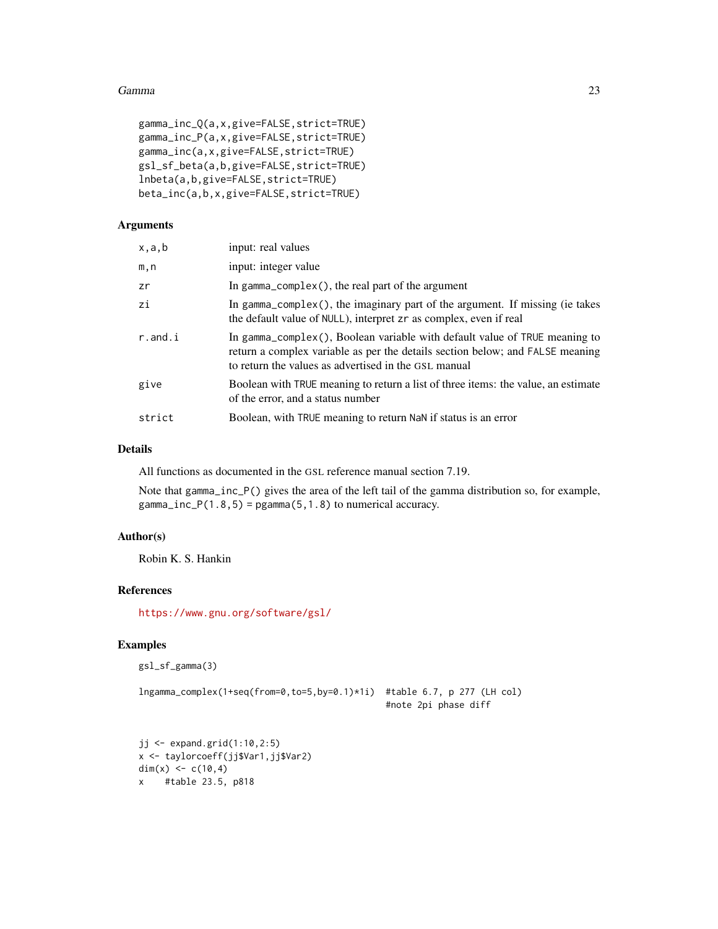#### Gamma 23

```
gamma_inc_Q(a,x,give=FALSE,strict=TRUE)
gamma_inc_P(a,x,give=FALSE,strict=TRUE)
gamma_inc(a,x,give=FALSE,strict=TRUE)
gsl_sf_beta(a,b,give=FALSE,strict=TRUE)
lnbeta(a,b,give=FALSE,strict=TRUE)
beta_inc(a,b,x,give=FALSE,strict=TRUE)
```
## Arguments

| x,a,b      | input: real values                                                                                                                                                                                                  |
|------------|---------------------------------------------------------------------------------------------------------------------------------------------------------------------------------------------------------------------|
| m, n       | input: integer value                                                                                                                                                                                                |
| zr         | In gamma_complex $()$ , the real part of the argument                                                                                                                                                               |
| zi         | In gamma_complex(), the imaginary part of the argument. If missing (ie takes<br>the default value of NULL), interpret zr as complex, even if real                                                                   |
| $r$ .and.i | In gamma_complex(), Boolean variable with default value of TRUE meaning to<br>return a complex variable as per the details section below; and FALSE meaning<br>to return the values as advertised in the GSL manual |
| give       | Boolean with TRUE meaning to return a list of three items: the value, an estimate<br>of the error, and a status number                                                                                              |
| strict     | Boolean, with TRUE meaning to return NaN if status is an error                                                                                                                                                      |

#### Details

All functions as documented in the GSL reference manual section 7.19.

Note that gamma\_inc\_P() gives the area of the left tail of the gamma distribution so, for example, gamma\_inc\_P(1.8,5) = pgamma(5,1.8) to numerical accuracy.

# Author(s)

Robin K. S. Hankin

# References

<https://www.gnu.org/software/gsl/>

# Examples

```
gsl_sf_gamma(3)
```

```
lngamma_complex(1+seq(from=0,to=5,by=0.1)*1i) #table 6.7, p 277 (LH col)
                                              #note 2pi phase diff
```

```
jj <- expand.grid(1:10,2:5)
x <- taylorcoeff(jj$Var1,jj$Var2)
dim(x) <- c(10, 4)x #table 23.5, p818
```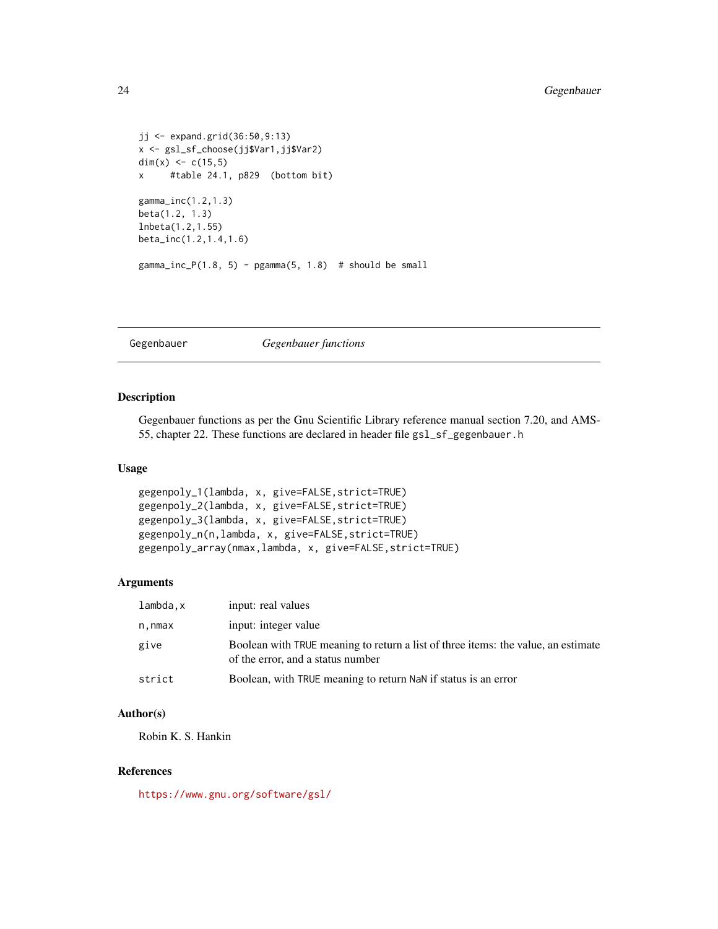```
jj <- expand.grid(36:50,9:13)
x <- gsl_sf_choose(jj$Var1,jj$Var2)
dim(x) <- c(15,5)x #table 24.1, p829 (bottom bit)
gamma_inc(1.2,1.3)
beta(1.2, 1.3)
lnbeta(1.2,1.55)
beta_inc(1.2,1.4,1.6)
gamma_inc_P(1.8, 5) - pgamma(5, 1.8) # should be small
```
Gegenbauer *Gegenbauer functions*

# Description

Gegenbauer functions as per the Gnu Scientific Library reference manual section 7.20, and AMS-55, chapter 22. These functions are declared in header file gsl\_sf\_gegenbauer.h

## Usage

```
gegenpoly_1(lambda, x, give=FALSE,strict=TRUE)
gegenpoly_2(lambda, x, give=FALSE,strict=TRUE)
gegenpoly_3(lambda, x, give=FALSE,strict=TRUE)
gegenpoly_n(n,lambda, x, give=FALSE,strict=TRUE)
gegenpoly_array(nmax,lambda, x, give=FALSE,strict=TRUE)
```
#### Arguments

| lambda.x | input: real values                                                                                                     |
|----------|------------------------------------------------------------------------------------------------------------------------|
| n,nmax   | input: integer value                                                                                                   |
| give     | Boolean with TRUE meaning to return a list of three items: the value, an estimate<br>of the error, and a status number |
| strict   | Boolean, with TRUE meaning to return NaN if status is an error                                                         |

#### Author(s)

Robin K. S. Hankin

#### References

<https://www.gnu.org/software/gsl/>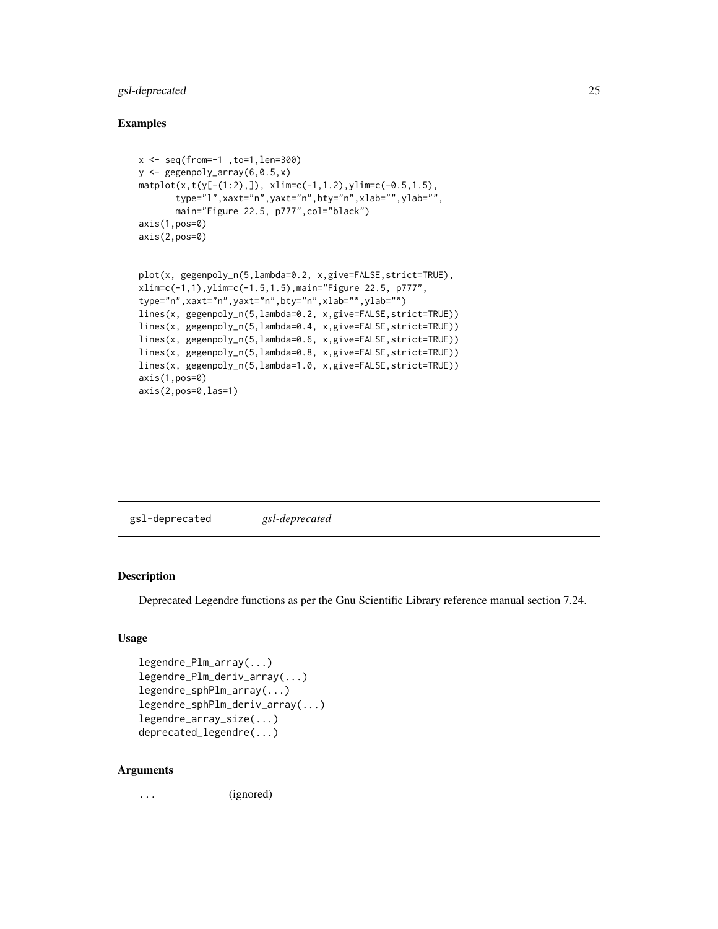# <span id="page-24-0"></span>gsl-deprecated 25

#### Examples

```
x <- seq(from=-1 ,to=1,len=300)
y \leftarrow gegenpoly_array(6,0.5,x)
\text{matplot}(x, t(y[-(1:2),]), \ x \text{lim} = c(-1, 1.2), y \text{lim} = c(-0.5, 1.5),type="l",xaxt="n",yaxt="n",bty="n",xlab="",ylab="",
       main="Figure 22.5, p777",col="black")
axis(1,pos=0)
axis(2,pos=0)
plot(x, gegenpoly_n(5,lambda=0.2, x,give=FALSE,strict=TRUE),
xlim=c(-1,1),ylim=c(-1.5,1.5),main="Figure 22.5, p777",
type="n",xaxt="n",yaxt="n",bty="n",xlab="",ylab="")
lines(x, gegenpoly_n(5,lambda=0.2, x,give=FALSE,strict=TRUE))
lines(x, gegenpoly_n(5,lambda=0.4, x,give=FALSE,strict=TRUE))
lines(x, gegenpoly_n(5,lambda=0.6, x,give=FALSE,strict=TRUE))
lines(x, gegenpoly_n(5,lambda=0.8, x,give=FALSE,strict=TRUE))
lines(x, gegenpoly_n(5,lambda=1.0, x,give=FALSE,strict=TRUE))
```
gsl-deprecated *gsl-deprecated*

#### Description

axis(1,pos=0) axis(2,pos=0,las=1)

Deprecated Legendre functions as per the Gnu Scientific Library reference manual section 7.24.

# Usage

```
legendre_Plm_array(...)
legendre_Plm_deriv_array(...)
legendre_sphPlm_array(...)
legendre_sphPlm_deriv_array(...)
legendre_array_size(...)
deprecated_legendre(...)
```
#### Arguments

... (ignored)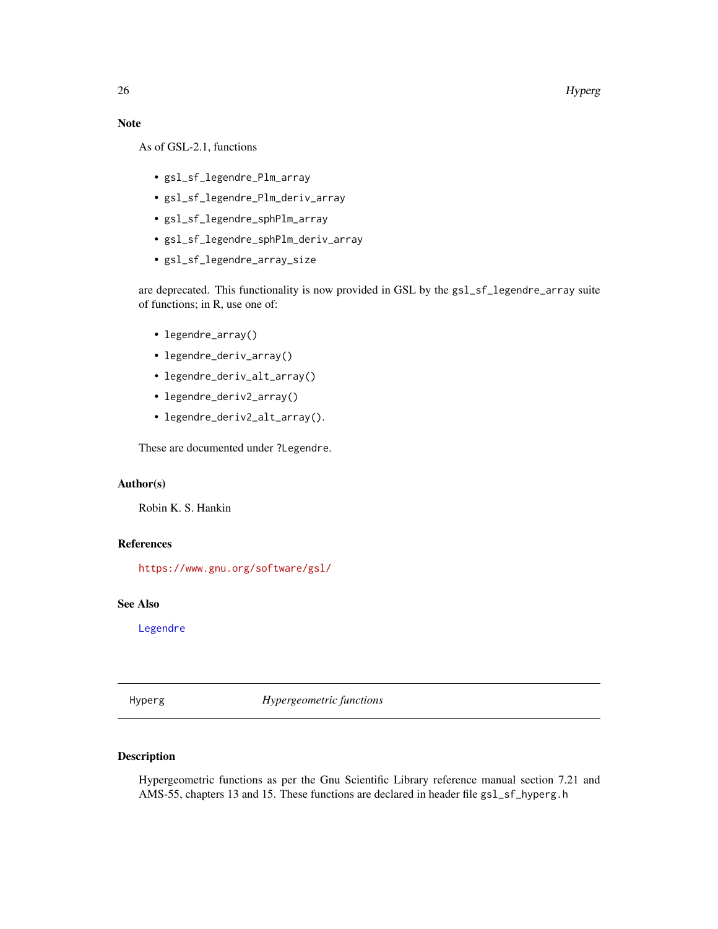#### <span id="page-25-0"></span>26 Hyperg

#### Note

As of GSL-2.1, functions

- gsl\_sf\_legendre\_Plm\_array
- gsl\_sf\_legendre\_Plm\_deriv\_array
- gsl\_sf\_legendre\_sphPlm\_array
- gsl\_sf\_legendre\_sphPlm\_deriv\_array
- gsl\_sf\_legendre\_array\_size

are deprecated. This functionality is now provided in GSL by the gsl\_sf\_legendre\_array suite of functions; in R, use one of:

- legendre\_array()
- legendre\_deriv\_array()
- legendre\_deriv\_alt\_array()
- legendre\_deriv2\_array()
- legendre\_deriv2\_alt\_array().

These are documented under ?Legendre.

## Author(s)

Robin K. S. Hankin

#### References

<https://www.gnu.org/software/gsl/>

#### See Also

[Legendre](#page-28-1)

Hyperg *Hypergeometric functions*

# Description

Hypergeometric functions as per the Gnu Scientific Library reference manual section 7.21 and AMS-55, chapters 13 and 15. These functions are declared in header file gs1\_sf\_hyperg.h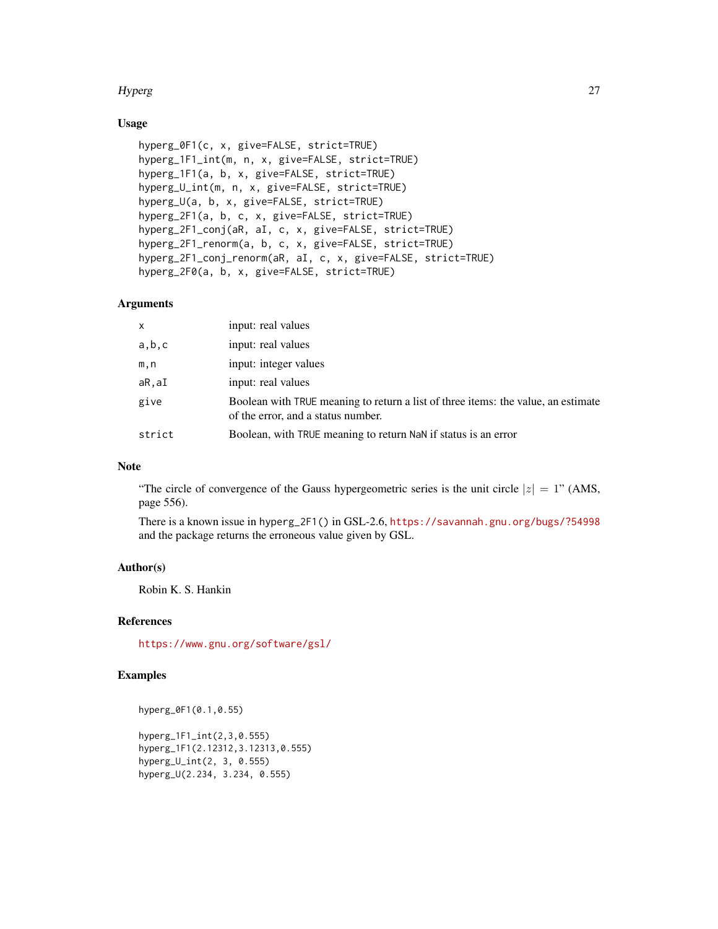#### Hyperg 27

# Usage

```
hyperg_0F1(c, x, give=FALSE, strict=TRUE)
hyperg_1F1_int(m, n, x, give=FALSE, strict=TRUE)
hyperg_1F1(a, b, x, give=FALSE, strict=TRUE)
hyperg_U_int(m, n, x, give=FALSE, strict=TRUE)
hyperg_U(a, b, x, give=FALSE, strict=TRUE)
hyperg_2F1(a, b, c, x, give=FALSE, strict=TRUE)
hyperg_2F1_conj(aR, aI, c, x, give=FALSE, strict=TRUE)
hyperg_2F1_renorm(a, b, c, x, give=FALSE, strict=TRUE)
hyperg_2F1_conj_renorm(aR, aI, c, x, give=FALSE, strict=TRUE)
hyperg_2F0(a, b, x, give=FALSE, strict=TRUE)
```
#### Arguments

| x      | input: real values                                                                                                      |
|--------|-------------------------------------------------------------------------------------------------------------------------|
| a,b,c  | input: real values                                                                                                      |
| m,n    | input: integer values                                                                                                   |
| aR,aI  | input: real values                                                                                                      |
| give   | Boolean with TRUE meaning to return a list of three items: the value, an estimate<br>of the error, and a status number. |
| strict | Boolean, with TRUE meaning to return NaN if status is an error                                                          |

# Note

"The circle of convergence of the Gauss hypergeometric series is the unit circle  $|z| = 1$ " (AMS, page 556).

There is a known issue in hyperg\_2F1() in GSL-2.6, <https://savannah.gnu.org/bugs/?54998> and the package returns the erroneous value given by GSL.

# Author(s)

Robin K. S. Hankin

#### References

<https://www.gnu.org/software/gsl/>

# Examples

hyperg\_0F1(0.1,0.55)

```
hyperg_1F1_int(2,3,0.555)
hyperg_1F1(2.12312,3.12313,0.555)
hyperg_U_int(2, 3, 0.555)
hyperg_U(2.234, 3.234, 0.555)
```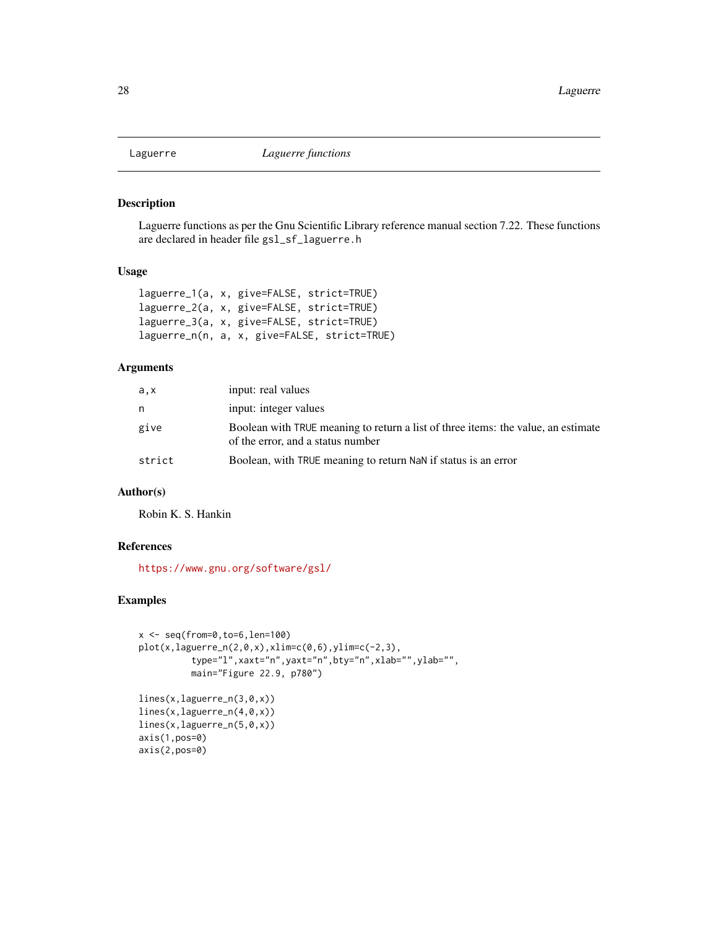<span id="page-27-0"></span>

# Description

Laguerre functions as per the Gnu Scientific Library reference manual section 7.22. These functions are declared in header file gsl\_sf\_laguerre.h

# Usage

```
laguerre_1(a, x, give=FALSE, strict=TRUE)
laguerre_2(a, x, give=FALSE, strict=TRUE)
laguerre_3(a, x, give=FALSE, strict=TRUE)
laguerre_n(n, a, x, give=FALSE, strict=TRUE)
```
# Arguments

| a,x    | input: real values                                                                                                     |
|--------|------------------------------------------------------------------------------------------------------------------------|
| n      | input: integer values                                                                                                  |
| give   | Boolean with TRUE meaning to return a list of three items: the value, an estimate<br>of the error, and a status number |
| strict | Boolean, with TRUE meaning to return NaN if status is an error                                                         |

# Author(s)

Robin K. S. Hankin

# References

<https://www.gnu.org/software/gsl/>

# Examples

```
x \le - seq(from=0, to=6, len=100)
plot(x, laguerre_n(2,0,x), xlim=c(0,6), ylim=c(-2,3),type="l",xaxt="n",yaxt="n",bty="n",xlab="",ylab="",
          main="Figure 22.9, p780")
lines(x,laguerre_n(3,0,x))
lines(x,laguerre_n(4,0,x))
lines(x,laguerre_n(5,0,x))
axis(1,pos=0)
axis(2,pos=0)
```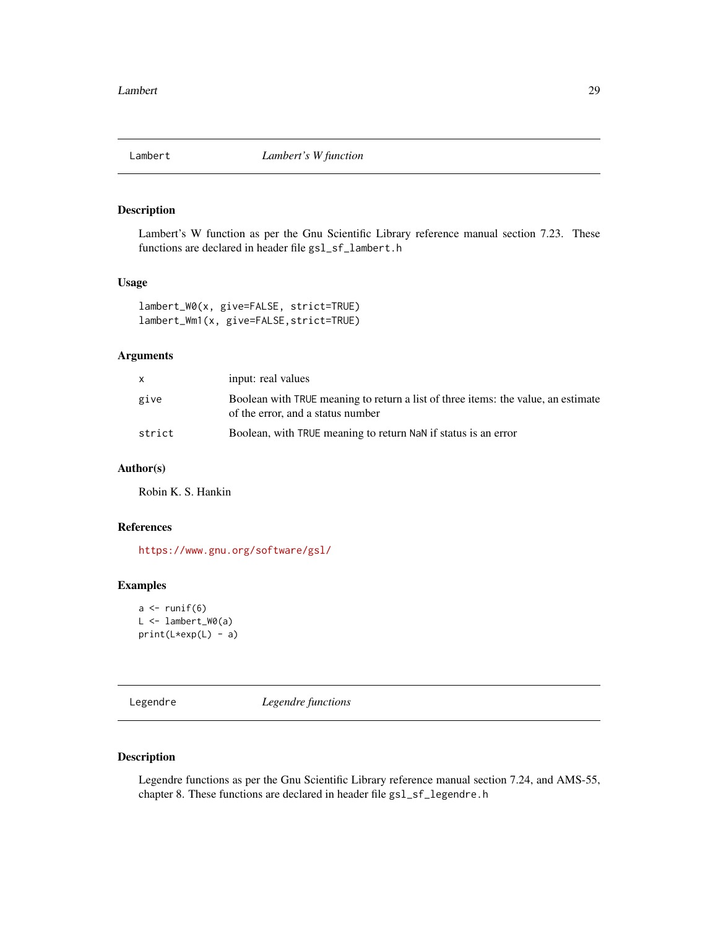<span id="page-28-0"></span>

# Description

Lambert's W function as per the Gnu Scientific Library reference manual section 7.23. These functions are declared in header file gsl\_sf\_lambert.h

# Usage

```
lambert_W0(x, give=FALSE, strict=TRUE)
lambert_Wm1(x, give=FALSE,strict=TRUE)
```
# Arguments

| X      | input: real values                                                                                                     |
|--------|------------------------------------------------------------------------------------------------------------------------|
| give   | Boolean with TRUE meaning to return a list of three items: the value, an estimate<br>of the error, and a status number |
| strict | Boolean, with TRUE meaning to return NaN if status is an error                                                         |

# Author(s)

Robin K. S. Hankin

# References

<https://www.gnu.org/software/gsl/>

#### Examples

```
a \leftarrow runif(6)L <- lambert_W0(a)
print(L*exp(L) - a)
```
<span id="page-28-1"></span>Legendre *Legendre functions*

# Description

Legendre functions as per the Gnu Scientific Library reference manual section 7.24, and AMS-55, chapter 8. These functions are declared in header file gsl\_sf\_legendre.h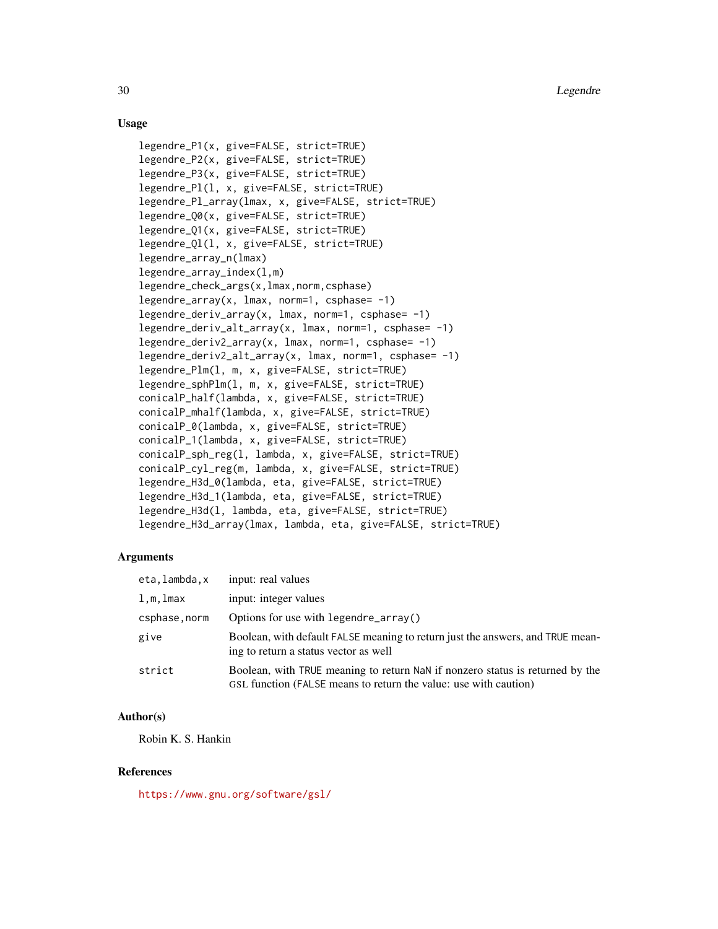### Usage

```
legendre_P1(x, give=FALSE, strict=TRUE)
legendre_P2(x, give=FALSE, strict=TRUE)
legendre_P3(x, give=FALSE, strict=TRUE)
legendre_Pl(l, x, give=FALSE, strict=TRUE)
legendre_Pl_array(lmax, x, give=FALSE, strict=TRUE)
legendre_Q0(x, give=FALSE, strict=TRUE)
legendre_Q1(x, give=FALSE, strict=TRUE)
legendre_Ql(l, x, give=FALSE, strict=TRUE)
legendre_array_n(lmax)
legendre_array_index(l,m)
legendre_check_args(x,lmax,norm,csphase)
legentegendre_array(x, lmax, norm=1, csphase= -1)
legendre_deriv_array(x, lmax, norm=1, csphase= -1)
legendre_deriv_alt_array(x, lmax, norm=1, csphase= -1)
legendre_deriv2_array(x, lmax, norm=1, csphase= -1)
legendre_deriv2_alt_array(x, lmax, norm=1, csphase= -1)
legendre_Plm(l, m, x, give=FALSE, strict=TRUE)
legendre_sphPlm(l, m, x, give=FALSE, strict=TRUE)
conicalP_half(lambda, x, give=FALSE, strict=TRUE)
conicalP_mhalf(lambda, x, give=FALSE, strict=TRUE)
conicalP_0(lambda, x, give=FALSE, strict=TRUE)
conicalP_1(lambda, x, give=FALSE, strict=TRUE)
conicalP_sph_reg(l, lambda, x, give=FALSE, strict=TRUE)
conicalP_cyl_reg(m, lambda, x, give=FALSE, strict=TRUE)
legendre_H3d_0(lambda, eta, give=FALSE, strict=TRUE)
legendre_H3d_1(lambda, eta, give=FALSE, strict=TRUE)
legendre_H3d(l, lambda, eta, give=FALSE, strict=TRUE)
legendre_H3d_array(lmax, lambda, eta, give=FALSE, strict=TRUE)
```
#### **Arguments**

| eta,lambda,x  | input: real values                                                                                                                                |
|---------------|---------------------------------------------------------------------------------------------------------------------------------------------------|
| $l,m,l$ max   | input: integer values                                                                                                                             |
| csphase, norm | Options for use with legendre_array()                                                                                                             |
| give          | Boolean, with default FALSE meaning to return just the answers, and TRUE mean-<br>ing to return a status vector as well                           |
| strict        | Boolean, with TRUE meaning to return NaN if nonzero status is returned by the<br>GSL function (FALSE means to return the value: use with caution) |

#### Author(s)

Robin K. S. Hankin

#### **References**

<https://www.gnu.org/software/gsl/>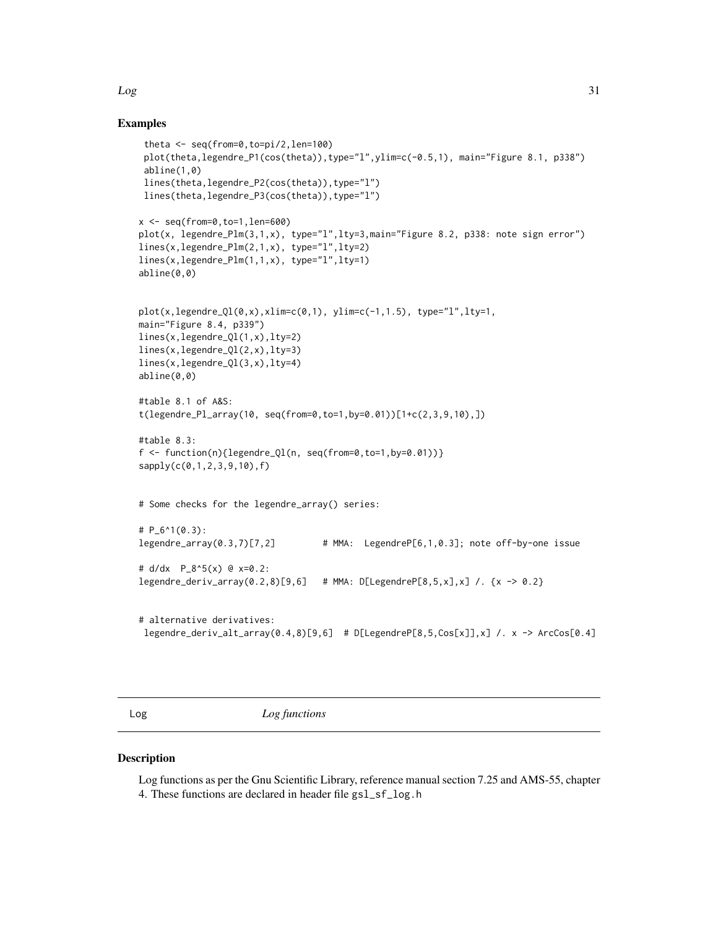# Examples

```
theta <- seq(from=0,to=pi/2,len=100)
plot(theta,legendre_P1(cos(theta)),type="l",ylim=c(-0.5,1), main="Figure 8.1, p338")
abline(1,0)
lines(theta,legendre_P2(cos(theta)),type="l")
lines(theta,legendre_P3(cos(theta)),type="l")
x <- seq(from=0,to=1,len=600)
plot(x, legendre_Plm(3,1,x), type="l",lty=3,main="Figure 8.2, p338: note sign error")
lines(x,legendre_Plm(2,1,x), type="l",lty=2)
lines(x,legendre_Plm(1,1,x), type="l",lty=1)
abline(0,0)
plot(x, legendre_Q1(0,x), xlim=c(0,1), ylim=c(-1,1.5), type="1", lty=1,main="Figure 8.4, p339")
lines(x,legendre_Ql(1,x),lty=2)
lines(x,legendre_Ql(2,x),lty=3)
lines(x,legendre_Ql(3,x),lty=4)
abline(0,0)
#table 8.1 of A&S:
t(legendre_Pl_array(10, seq(from=0,to=1,by=0.01))[1+c(2,3,9,10),])
#table 8.3:
f \leftarrow function(n){legendre_Ql(n, seq(from=0,to=1,by=0.01))}
sapply(c(0,1,2,3,9,10),f)
# Some checks for the legendre_array() series:
# P_6^1(0.3):
legendre_array(0.3,7)[7,2] # MMA: LegendreP[6,1,0.3]; note off-by-one issue
# d/dx P_8^5(x) @ x=0.2:
legendre_deriv_array(0.2,8)[9,6] # MMA: D[LegendreP[8,5,x],x] /. {x -> 0.2}
# alternative derivatives:
legendre_deriv_alt_array(0.4,8)[9,6] # D[LegendreP[8,5,Cos[x]],x] /. x -> ArcCos[0.4]
```
Log *Log functions*

#### Description

Log functions as per the Gnu Scientific Library, reference manual section 7.25 and AMS-55, chapter 4. These functions are declared in header file gsl\_sf\_log.h

<span id="page-30-0"></span> $Log$  31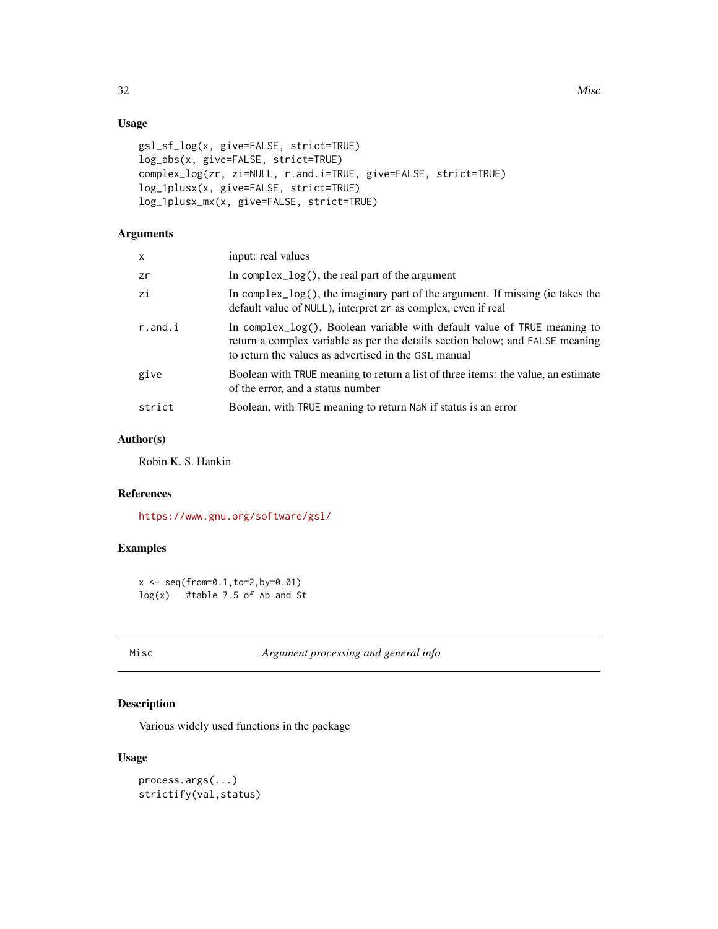# Usage

```
gsl_sf_log(x, give=FALSE, strict=TRUE)
log_abs(x, give=FALSE, strict=TRUE)
complex_log(zr, zi=NULL, r.and.i=TRUE, give=FALSE, strict=TRUE)
log_1plusx(x, give=FALSE, strict=TRUE)
log_1plusx_mx(x, give=FALSE, strict=TRUE)
```
# Arguments

| x          | input: real values                                                                                                                                                                                                |
|------------|-------------------------------------------------------------------------------------------------------------------------------------------------------------------------------------------------------------------|
| zr         | In complex_log(), the real part of the argument                                                                                                                                                                   |
| zi         | In complex $log()$ , the imaginary part of the argument. If missing (ie takes the<br>default value of NULL), interpret zr as complex, even if real                                                                |
| $r$ .and.i | In complex_log(), Boolean variable with default value of TRUE meaning to<br>return a complex variable as per the details section below; and FALSE meaning<br>to return the values as advertised in the GSL manual |
| give       | Boolean with TRUE meaning to return a list of three items: the value, an estimate<br>of the error, and a status number                                                                                            |
| strict     | Boolean, with TRUE meaning to return NaN if status is an error                                                                                                                                                    |

# Author(s)

Robin K. S. Hankin

# References

<https://www.gnu.org/software/gsl/>

# Examples

```
x <- seq(from=0.1,to=2,by=0.01)
log(x) #table 7.5 of Ab and St
```
Misc *Argument processing and general info*

# Description

Various widely used functions in the package

### Usage

```
process.args(...)
strictify(val,status)
```
<span id="page-31-0"></span>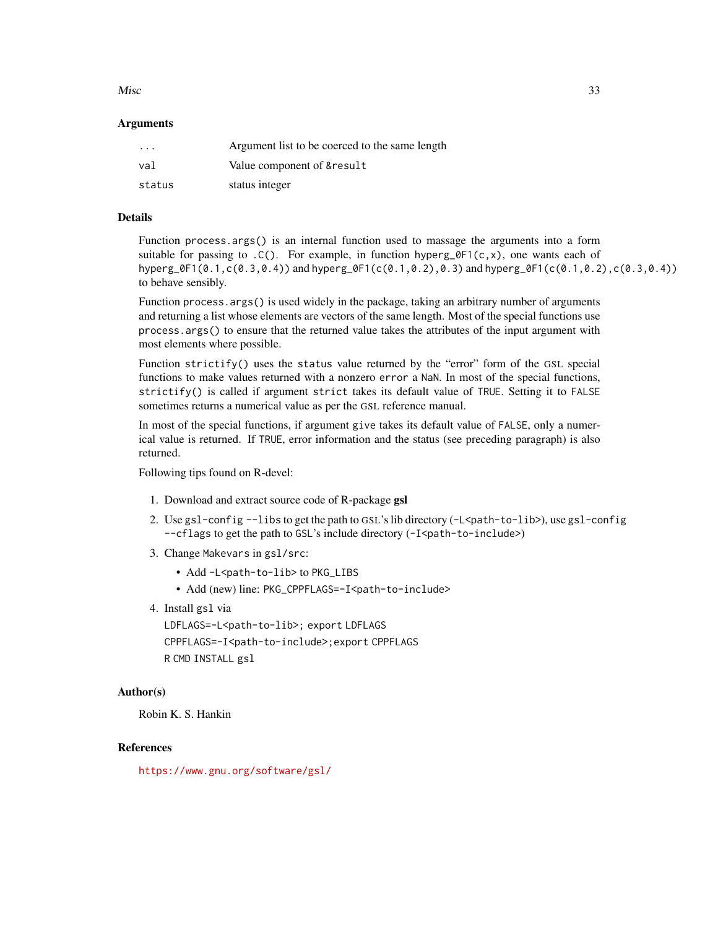#### $Misc$  33

#### **Arguments**

| $\cdot$ $\cdot$ $\cdot$ | Argument list to be coerced to the same length |
|-------------------------|------------------------------------------------|
| val                     | Value component of & result                    |
| status                  | status integer                                 |

#### Details

Function process.args() is an internal function used to massage the arguments into a form suitable for passing to .C(). For example, in function hyperg\_0F1(c, x), one wants each of hyperg\_0F1(0.1,c(0.3,0.4)) and hyperg\_0F1(c(0.1,0.2),0.3) and hyperg\_0F1(c(0.1,0.2),c(0.3,0.4)) to behave sensibly.

Function process.args() is used widely in the package, taking an arbitrary number of arguments and returning a list whose elements are vectors of the same length. Most of the special functions use process.args() to ensure that the returned value takes the attributes of the input argument with most elements where possible.

Function strictify() uses the status value returned by the "error" form of the GSL special functions to make values returned with a nonzero error a NaN. In most of the special functions, strictify() is called if argument strict takes its default value of TRUE. Setting it to FALSE sometimes returns a numerical value as per the GSL reference manual.

In most of the special functions, if argument give takes its default value of FALSE, only a numerical value is returned. If TRUE, error information and the status (see preceding paragraph) is also returned.

Following tips found on R-devel:

- 1. Download and extract source code of R-package gsl
- 2. Use gsl config  $-1$  is to get the path to GSL's lib directory  $(-\frac{L}{\phi}a + b \frac{1}{b})$ , use gsl config --cflags to get the path to GSL's include directory (-I<path-to-include>)
- 3. Change Makevars in gsl/src:
	- Add -L<path-to-lib> to PKG\_LIBS
	- Add (new) line: PKG\_CPPFLAGS=-I<path-to-include>
- 4. Install gsl via

LDFLAGS=-L<path-to-lib>; export LDFLAGS CPPFLAGS=-I<path-to-include>;export CPPFLAGS R CMD INSTALL gsl

#### Author(s)

Robin K. S. Hankin

# References

<https://www.gnu.org/software/gsl/>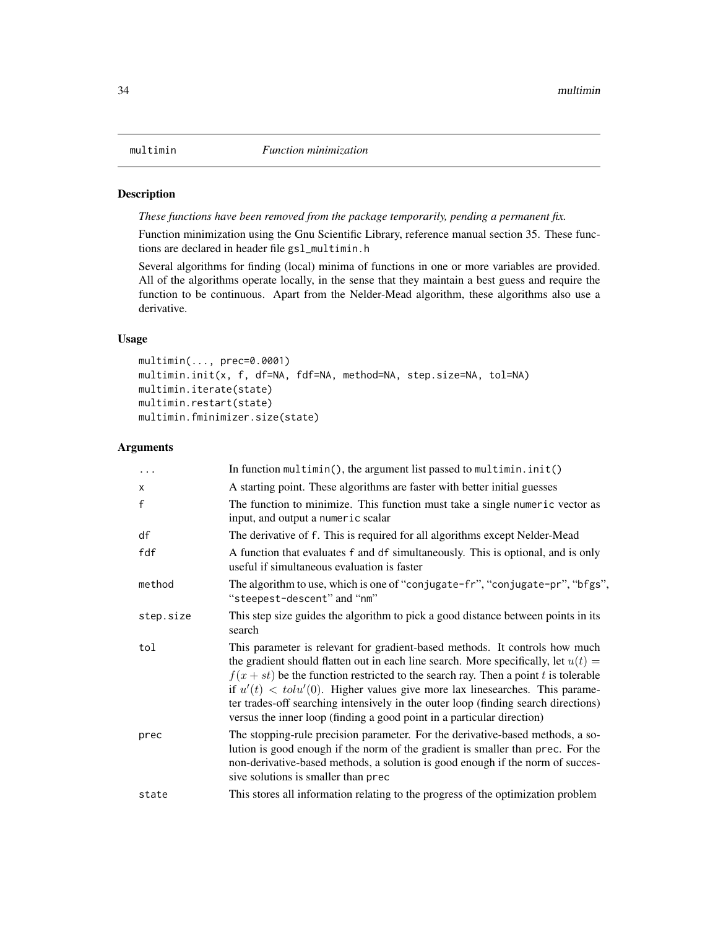# <span id="page-33-0"></span>Description

*These functions have been removed from the package temporarily, pending a permanent fix.*

Function minimization using the Gnu Scientific Library, reference manual section 35. These functions are declared in header file gsl\_multimin.h

Several algorithms for finding (local) minima of functions in one or more variables are provided. All of the algorithms operate locally, in the sense that they maintain a best guess and require the function to be continuous. Apart from the Nelder-Mead algorithm, these algorithms also use a derivative.

#### Usage

```
multimin(..., prec=0.0001)
multimin.init(x, f, df=NA, fdf=NA, method=NA, step.size=NA, tol=NA)
multimin.iterate(state)
multimin.restart(state)
multimin.fminimizer.size(state)
```
#### Arguments

| $\ddots$ .   | In function $multipation()$ , the argument list passed to multimin. $init()$                                                                                                                                                                                                                                                                                                                                                                                                                                          |
|--------------|-----------------------------------------------------------------------------------------------------------------------------------------------------------------------------------------------------------------------------------------------------------------------------------------------------------------------------------------------------------------------------------------------------------------------------------------------------------------------------------------------------------------------|
| $\mathsf{x}$ | A starting point. These algorithms are faster with better initial guesses                                                                                                                                                                                                                                                                                                                                                                                                                                             |
| $\mathsf{f}$ | The function to minimize. This function must take a single numeric vector as<br>input, and output a numeric scalar                                                                                                                                                                                                                                                                                                                                                                                                    |
| df           | The derivative of f. This is required for all algorithms except Nelder-Mead                                                                                                                                                                                                                                                                                                                                                                                                                                           |
| fdf          | A function that evaluates f and df simultaneously. This is optional, and is only<br>useful if simultaneous evaluation is faster                                                                                                                                                                                                                                                                                                                                                                                       |
| method       | The algorithm to use, which is one of "conjugate-fr", "conjugate-pr", "bfgs",<br>"steepest-descent" and "nm"                                                                                                                                                                                                                                                                                                                                                                                                          |
| step.size    | This step size guides the algorithm to pick a good distance between points in its<br>search                                                                                                                                                                                                                                                                                                                                                                                                                           |
| tol          | This parameter is relevant for gradient-based methods. It controls how much<br>the gradient should flatten out in each line search. More specifically, let $u(t) =$<br>$f(x + st)$ be the function restricted to the search ray. Then a point t is tolerable<br>if $u'(t) < \text{tolu}'(0)$ . Higher values give more lax linesearches. This parame-<br>ter trades-off searching intensively in the outer loop (finding search directions)<br>versus the inner loop (finding a good point in a particular direction) |
| prec         | The stopping-rule precision parameter. For the derivative-based methods, a so-<br>lution is good enough if the norm of the gradient is smaller than prec. For the<br>non-derivative-based methods, a solution is good enough if the norm of succes-<br>sive solutions is smaller than prec                                                                                                                                                                                                                            |
| state        | This stores all information relating to the progress of the optimization problem                                                                                                                                                                                                                                                                                                                                                                                                                                      |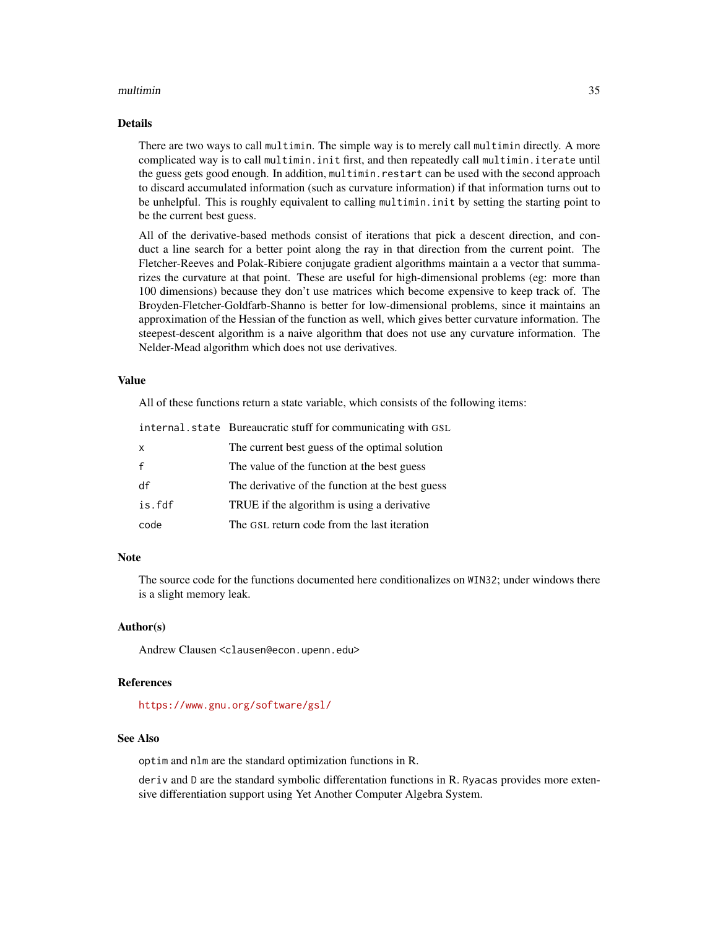#### multimin 35

#### Details

There are two ways to call multimin. The simple way is to merely call multimin directly. A more complicated way is to call multimin.init first, and then repeatedly call multimin.iterate until the guess gets good enough. In addition, multimin.restart can be used with the second approach to discard accumulated information (such as curvature information) if that information turns out to be unhelpful. This is roughly equivalent to calling multimin.init by setting the starting point to be the current best guess.

All of the derivative-based methods consist of iterations that pick a descent direction, and conduct a line search for a better point along the ray in that direction from the current point. The Fletcher-Reeves and Polak-Ribiere conjugate gradient algorithms maintain a a vector that summarizes the curvature at that point. These are useful for high-dimensional problems (eg: more than 100 dimensions) because they don't use matrices which become expensive to keep track of. The Broyden-Fletcher-Goldfarb-Shanno is better for low-dimensional problems, since it maintains an approximation of the Hessian of the function as well, which gives better curvature information. The steepest-descent algorithm is a naive algorithm that does not use any curvature information. The Nelder-Mead algorithm which does not use derivatives.

#### Value

All of these functions return a state variable, which consists of the following items:

|              | internal.state Bureaucratic stuff for communicating with GSL |  |
|--------------|--------------------------------------------------------------|--|
| $\mathsf{x}$ | The current best guess of the optimal solution               |  |
| $\mathbf{f}$ | The value of the function at the best guess                  |  |
| df           | The derivative of the function at the best guess             |  |
| is.fdf       | TRUE if the algorithm is using a derivative                  |  |
| code         | The GSL return code from the last iteration                  |  |

#### **Note**

The source code for the functions documented here conditionalizes on WIN32; under windows there is a slight memory leak.

#### Author(s)

Andrew Clausen <clausen@econ.upenn.edu>

#### References

<https://www.gnu.org/software/gsl/>

#### See Also

optim and nlm are the standard optimization functions in R.

deriv and D are the standard symbolic differentation functions in R. Ryacas provides more extensive differentiation support using Yet Another Computer Algebra System.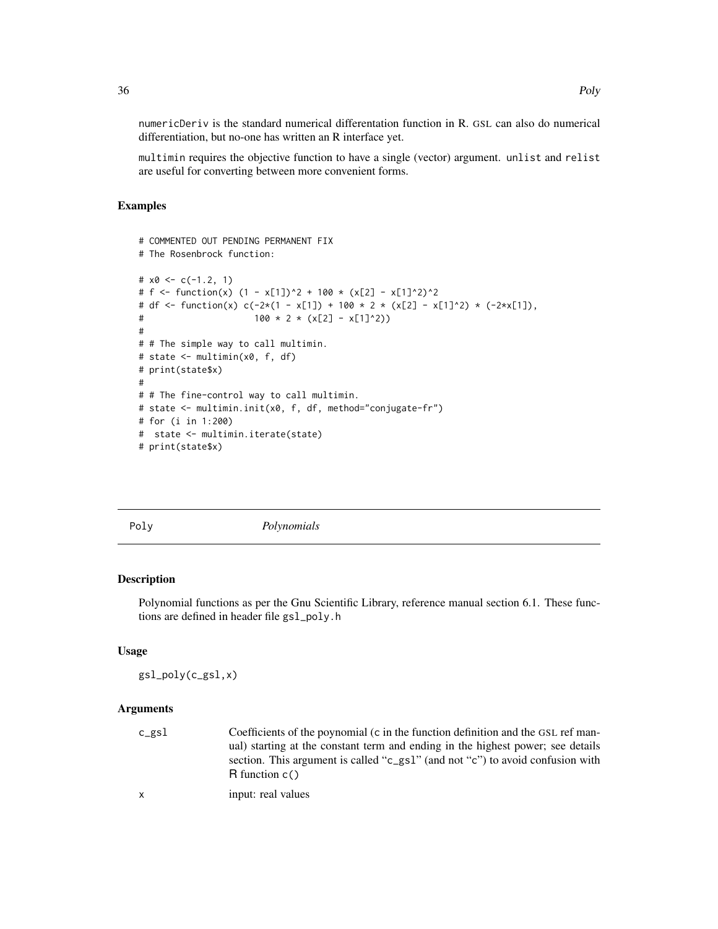numericDeriv is the standard numerical differentation function in R. GSL can also do numerical differentiation, but no-one has written an R interface yet.

multimin requires the objective function to have a single (vector) argument. unlist and relist are useful for converting between more convenient forms.

# Examples

```
# COMMENTED OUT PENDING PERMANENT FIX
# The Rosenbrock function:
# x0 \leq c(-1.2, 1)# f <- function(x) (1 - x[1])^2 + 100 \times (x[2] - x[1]^2)^2# df <- function(x) c(-2*(1 - x[1]) + 100 * 2 * (x[2] - x[1]^2) * (-2*x[1]),
# 100 \times 2 \times (x[2] - x[1]^2)#
# # The simple way to call multimin.
# state <- multimin(x0, f, df)
# print(state$x)
#
# # The fine-control way to call multimin.
# state <- multimin.init(x0, f, df, method="conjugate-fr")
# for (i in 1:200)
# state <- multimin.iterate(state)
# print(state$x)
```
Poly *Polynomials*

# Description

Polynomial functions as per the Gnu Scientific Library, reference manual section 6.1. These functions are defined in header file gsl\_poly.h

# Usage

gsl\_poly(c\_gsl,x)

#### Arguments

| c_gsl | Coefficients of the poynomial (c in the function definition and the GSL ref man-                   |
|-------|----------------------------------------------------------------------------------------------------|
|       | ual) starting at the constant term and ending in the highest power; see details                    |
|       | section. This argument is called "c_gs1" (and not "c") to avoid confusion with<br>R function $c()$ |
| x.    | input: real values                                                                                 |

36 Poly

<span id="page-35-0"></span>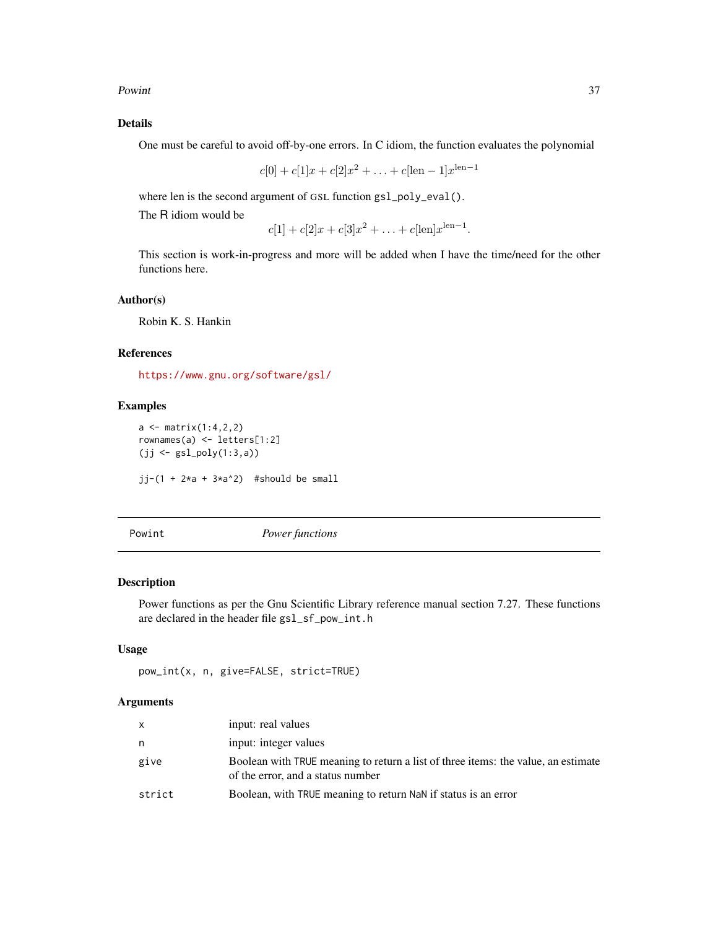#### <span id="page-36-0"></span>Powint 37

# Details

One must be careful to avoid off-by-one errors. In C idiom, the function evaluates the polynomial

$$
c[0] + c[1]x + c[2]x^2 + \ldots + c[len - 1]x^{len-1}
$$

where len is the second argument of GSL function gsl\_poly\_eval().

The R idiom would be

```
c[1] + c[2]x + c[3]x^2 + \ldots + c[\text{len}]x^{\text{len}-1}.
```
This section is work-in-progress and more will be added when I have the time/need for the other functions here.

#### Author(s)

Robin K. S. Hankin

#### References

<https://www.gnu.org/software/gsl/>

# Examples

 $a \leftarrow matrix(1:4,2,2)$ rownames(a) <- letters[1:2] (jj <- gsl\_poly(1:3,a)) jj-(1 +  $2*a + 3*a^2$ ) #should be small

Powint *Power functions*

#### Description

Power functions as per the Gnu Scientific Library reference manual section 7.27. These functions are declared in the header file gsl\_sf\_pow\_int.h

#### Usage

```
pow_int(x, n, give=FALSE, strict=TRUE)
```
# Arguments

| $\mathsf{X}$ | input: real values                                                                                                     |
|--------------|------------------------------------------------------------------------------------------------------------------------|
| n            | input: integer values                                                                                                  |
| give         | Boolean with TRUE meaning to return a list of three items: the value, an estimate<br>of the error, and a status number |
| strict       | Boolean, with TRUE meaning to return NaN if status is an error                                                         |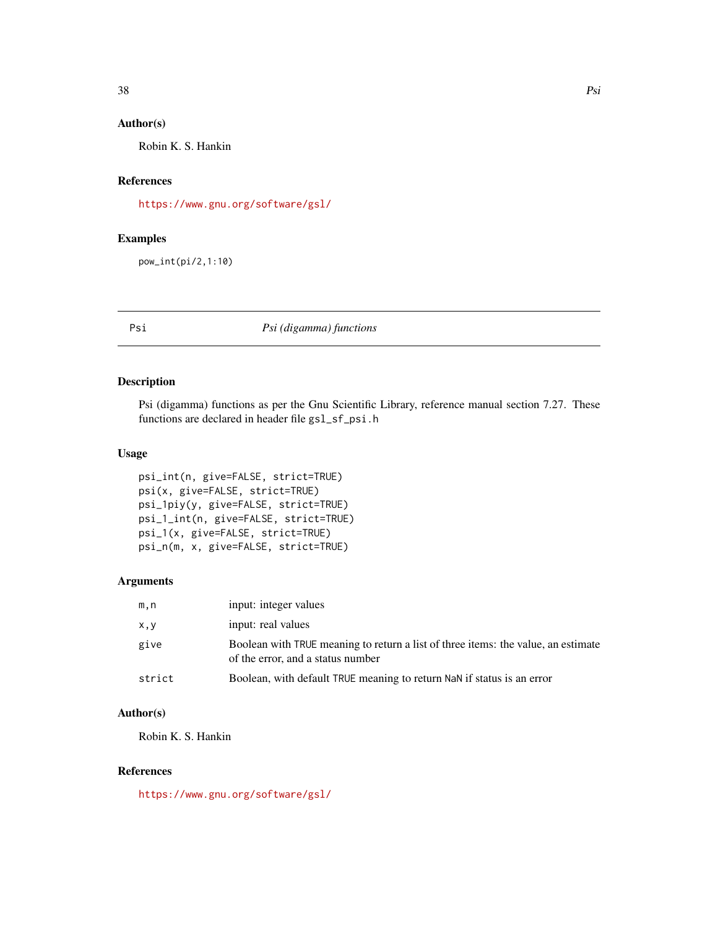#### <span id="page-37-0"></span>Author(s)

Robin K. S. Hankin

# References

<https://www.gnu.org/software/gsl/>

# Examples

pow\_int(pi/2,1:10)

Psi *Psi (digamma) functions*

# Description

Psi (digamma) functions as per the Gnu Scientific Library, reference manual section 7.27. These functions are declared in header file gsl\_sf\_psi.h

# Usage

```
psi_int(n, give=FALSE, strict=TRUE)
psi(x, give=FALSE, strict=TRUE)
psi_1piy(y, give=FALSE, strict=TRUE)
psi_1_int(n, give=FALSE, strict=TRUE)
psi_1(x, give=FALSE, strict=TRUE)
psi_n(m, x, give=FALSE, strict=TRUE)
```
# Arguments

| m,n    | input: integer values                                                                                                  |
|--------|------------------------------------------------------------------------------------------------------------------------|
| x, y   | input: real values                                                                                                     |
| give   | Boolean with TRUE meaning to return a list of three items: the value, an estimate<br>of the error, and a status number |
| strict | Boolean, with default TRUE meaning to return NaN if status is an error                                                 |

# Author(s)

Robin K. S. Hankin

#### References

<https://www.gnu.org/software/gsl/>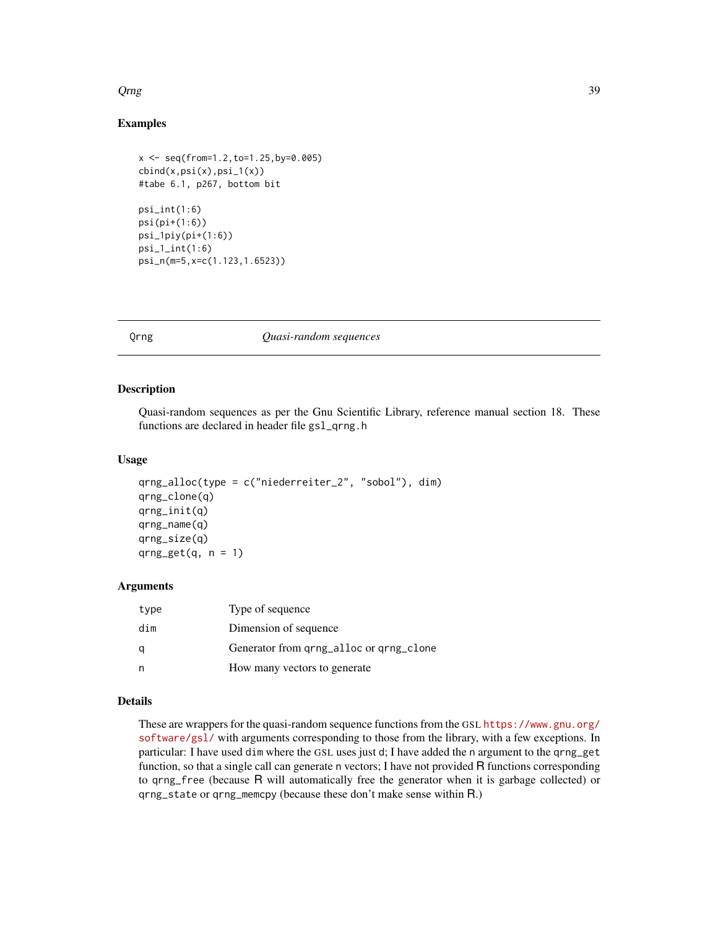#### <span id="page-38-0"></span> $Q$ rng  $39$

# Examples

```
x <- seq(from=1.2,to=1.25,by=0.005)
cbind(x,psi(x),psi_1(x))
#tabe 6.1, p267, bottom bit
psi_int(1:6)
psi(pi+(1:6))
psi_1piy(pi+(1:6))
psi_1_int(1:6)psi_n(m=5,x=c(1.123,1.6523))
```
#### Qrng *Quasi-random sequences*

#### Description

Quasi-random sequences as per the Gnu Scientific Library, reference manual section 18. These functions are declared in header file gsl\_qrng.h

#### Usage

```
qrng_alloc(type = c("niederreiter_2", "sobol"), dim)
qrng_clone(q)
qrng_init(q)
qrng_name(q)
qrng_size(q)
qrng_get(q, n = 1)
```
# Arguments

| type | Type of sequence                        |
|------|-----------------------------------------|
| dim  | Dimension of sequence                   |
|      | Generator from qrng_alloc or qrng_clone |
|      | How many vectors to generate            |

# Details

These are wrappers for the quasi-random sequence functions from the GSL [https://www.gnu.org/](https://www.gnu.org/software/gsl/) [software/gsl/](https://www.gnu.org/software/gsl/) with arguments corresponding to those from the library, with a few exceptions. In particular: I have used dim where the GSL uses just d; I have added the n argument to the qrng\_get function, so that a single call can generate n vectors; I have not provided R functions corresponding to qrng\_free (because R will automatically free the generator when it is garbage collected) or qrng\_state or qrng\_memcpy (because these don't make sense within R.)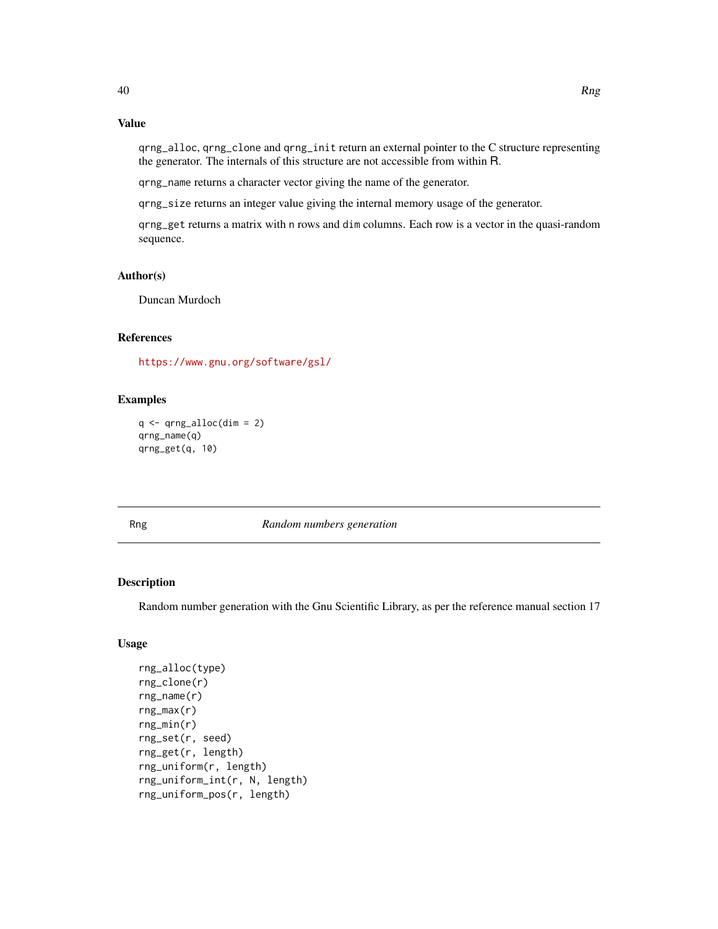# Value

qrng\_alloc, qrng\_clone and qrng\_init return an external pointer to the C structure representing the generator. The internals of this structure are not accessible from within R.

qrng\_name returns a character vector giving the name of the generator.

qrng\_size returns an integer value giving the internal memory usage of the generator.

qrng\_get returns a matrix with n rows and dim columns. Each row is a vector in the quasi-random sequence.

#### Author(s)

Duncan Murdoch

## References

<https://www.gnu.org/software/gsl/>

# Examples

```
q \leftarrow qrng\_alloc(dim = 2)qrng_name(q)
qrng_get(q, 10)
```
Rng *Random numbers generation*

# Description

Random number generation with the Gnu Scientific Library, as per the reference manual section 17

# Usage

```
rng_alloc(type)
rng_clone(r)
rng_name(r)
rng_max(r)
rng\_min(r)rng_set(r, seed)
rng_get(r, length)
rng_uniform(r, length)
rng_uniform_int(r, N, length)
rng_uniform_pos(r, length)
```
<span id="page-39-0"></span>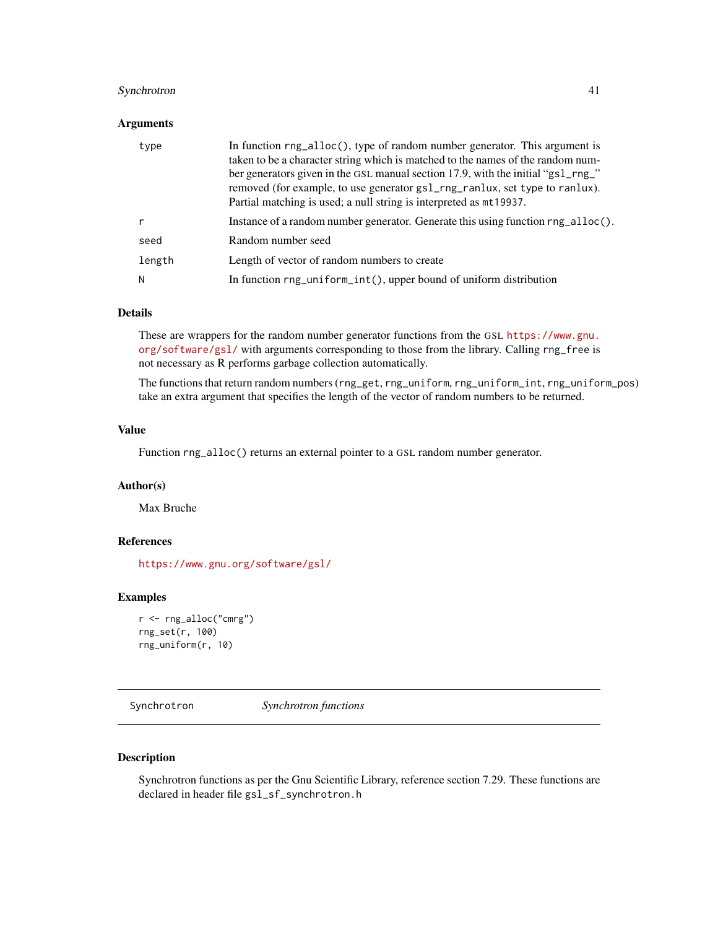# <span id="page-40-0"></span>Synchrotron 41

#### **Arguments**

| type   | In function rng_alloc(), type of random number generator. This argument is<br>taken to be a character string which is matched to the names of the random num-<br>ber generators given in the GSL manual section 17.9, with the initial "gs1_rng_"<br>removed (for example, to use generator gs1_rng_ranlux, set type to ranlux).<br>Partial matching is used; a null string is interpreted as mt19937. |
|--------|--------------------------------------------------------------------------------------------------------------------------------------------------------------------------------------------------------------------------------------------------------------------------------------------------------------------------------------------------------------------------------------------------------|
| r      | Instance of a random number generator. Generate this using function rng_alloc().                                                                                                                                                                                                                                                                                                                       |
| seed   | Random number seed                                                                                                                                                                                                                                                                                                                                                                                     |
| length | Length of vector of random numbers to create                                                                                                                                                                                                                                                                                                                                                           |
| N      | In function rng_uniform_int(), upper bound of uniform distribution                                                                                                                                                                                                                                                                                                                                     |

#### Details

These are wrappers for the random number generator functions from the GSL [https://www.gnu.](https://www.gnu.org/software/gsl/) [org/software/gsl/](https://www.gnu.org/software/gsl/) with arguments corresponding to those from the library. Calling rng\_free is not necessary as R performs garbage collection automatically.

The functions that return random numbers (rng\_get, rng\_uniform, rng\_uniform\_int, rng\_uniform\_pos) take an extra argument that specifies the length of the vector of random numbers to be returned.

#### Value

Function rng\_alloc() returns an external pointer to a GSL random number generator.

#### Author(s)

Max Bruche

# References

<https://www.gnu.org/software/gsl/>

#### Examples

```
r <- rng_alloc("cmrg")
rng_set(r, 100)
rng_uniform(r, 10)
```
Synchrotron *Synchrotron functions*

#### Description

Synchrotron functions as per the Gnu Scientific Library, reference section 7.29. These functions are declared in header file gsl\_sf\_synchrotron.h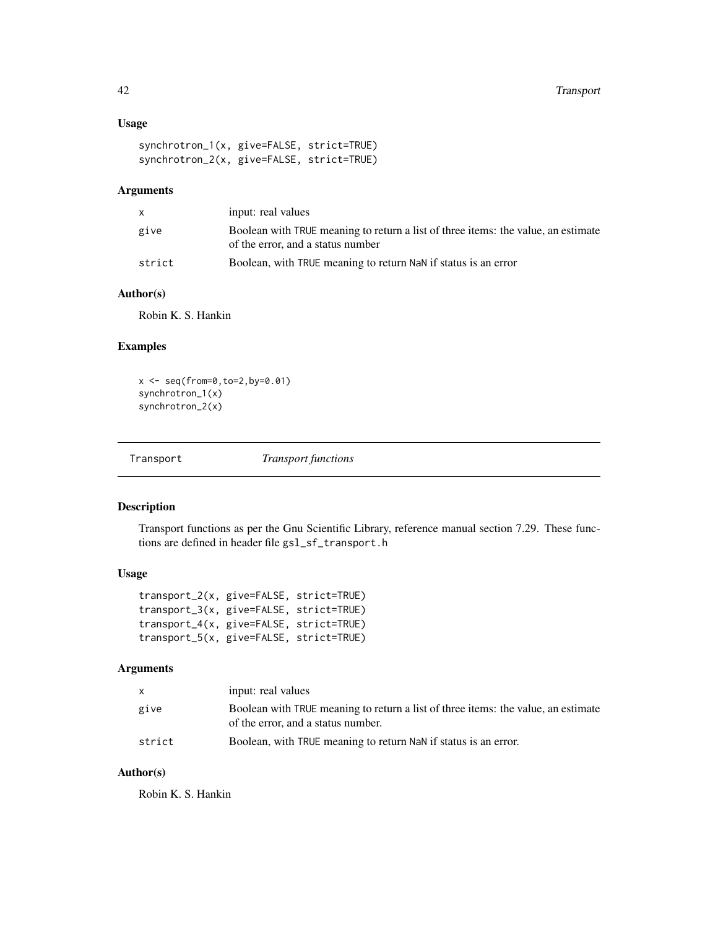# <span id="page-41-0"></span>Usage

```
synchrotron_1(x, give=FALSE, strict=TRUE)
synchrotron_2(x, give=FALSE, strict=TRUE)
```
#### Arguments

|        | input: real values                                                                                                     |
|--------|------------------------------------------------------------------------------------------------------------------------|
| give   | Boolean with TRUE meaning to return a list of three items: the value, an estimate<br>of the error, and a status number |
| strict | Boolean, with TRUE meaning to return NaN if status is an error                                                         |

# Author(s)

Robin K. S. Hankin

#### Examples

```
x <- seq(from=0,to=2,by=0.01)
synchrotron_1(x)
synchrotron_2(x)
```
Transport *Transport functions*

#### Description

Transport functions as per the Gnu Scientific Library, reference manual section 7.29. These functions are defined in header file gsl\_sf\_transport.h

# Usage

| transport_2(x, give=FALSE, strict=TRUE) |  |
|-----------------------------------------|--|
| transport_3(x, give=FALSE, strict=TRUE) |  |
| transport_4(x, give=FALSE, strict=TRUE) |  |
| transport_5(x, give=FALSE, strict=TRUE) |  |

# Arguments

| $\mathsf{x}$ | input: real values                                                                                                      |
|--------------|-------------------------------------------------------------------------------------------------------------------------|
| give         | Boolean with TRUE meaning to return a list of three items: the value, an estimate<br>of the error, and a status number. |
| strict       | Boolean, with TRUE meaning to return NaN if status is an error.                                                         |

# Author(s)

Robin K. S. Hankin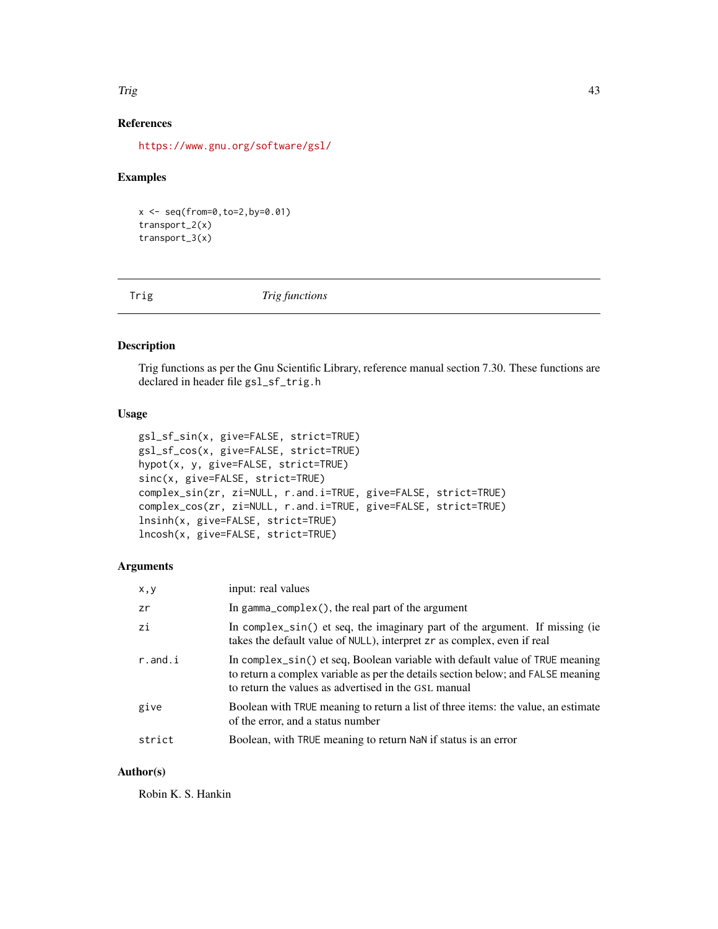#### <span id="page-42-0"></span>Trig the contract of the contract of the contract of the contract of the contract of the contract of the contract of the contract of the contract of the contract of the contract of the contract of the contract of the contr

# References

<https://www.gnu.org/software/gsl/>

# Examples

x <- seq(from=0,to=2,by=0.01) transport\_2(x) transport\_3(x)

Trig *Trig functions*

#### Description

Trig functions as per the Gnu Scientific Library, reference manual section 7.30. These functions are declared in header file gsl\_sf\_trig.h

#### Usage

```
gsl_sf_sin(x, give=FALSE, strict=TRUE)
gsl_sf_cos(x, give=FALSE, strict=TRUE)
hypot(x, y, give=FALSE, strict=TRUE)
sinc(x, give=FALSE, strict=TRUE)
complex_sin(zr, zi=NULL, r.and.i=TRUE, give=FALSE, strict=TRUE)
complex_cos(zr, zi=NULL, r.and.i=TRUE, give=FALSE, strict=TRUE)
lnsinh(x, give=FALSE, strict=TRUE)
lncosh(x, give=FALSE, strict=TRUE)
```
#### Arguments

| x,y     | input: real values                                                                                                                                                                                                       |
|---------|--------------------------------------------------------------------------------------------------------------------------------------------------------------------------------------------------------------------------|
| zr      | In gamma_complex(), the real part of the argument                                                                                                                                                                        |
| zi      | In complex_sin() et seq, the imaginary part of the argument. If missing (ie<br>takes the default value of NULL), interpret zr as complex, even if real                                                                   |
| r.and.i | In complex_sin() et seq, Boolean variable with default value of TRUE meaning<br>to return a complex variable as per the details section below; and FALSE meaning<br>to return the values as advertised in the GSL manual |
| give    | Boolean with TRUE meaning to return a list of three items: the value, an estimate<br>of the error, and a status number                                                                                                   |
| strict  | Boolean, with TRUE meaning to return NaN if status is an error                                                                                                                                                           |

### Author(s)

Robin K. S. Hankin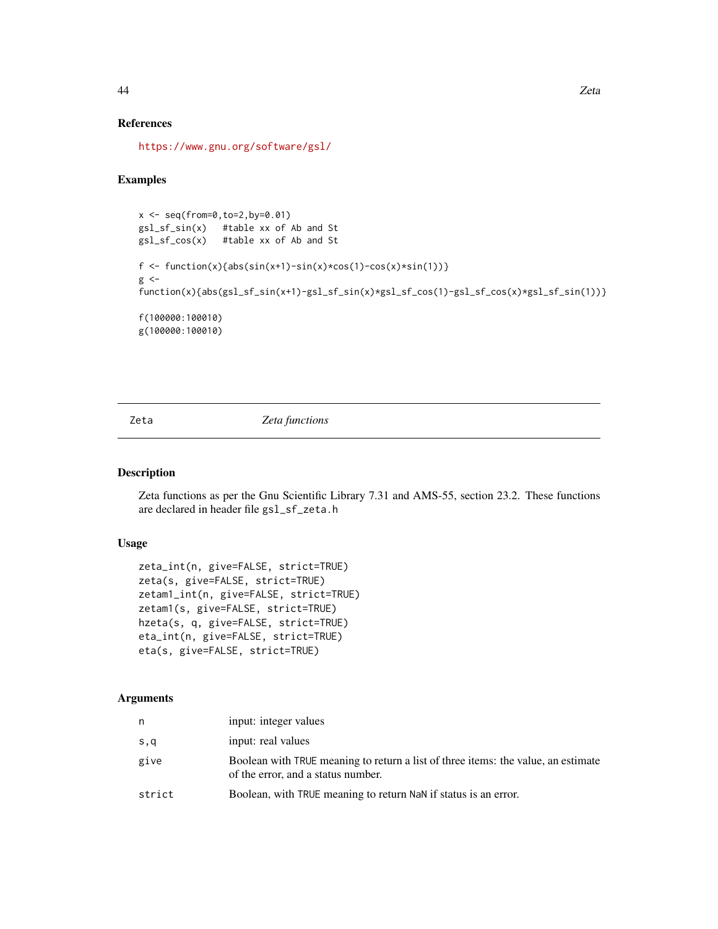#### References

<https://www.gnu.org/software/gsl/>

# Examples

```
x \leq -\text{seq}(\text{from=0}, \text{to=2}, \text{by=0}.01)gsl_sf_sin(x) #table xx of Ab and St
gsl_sf_cos(x) #table xx of Ab and St
f <- function(x){abs(sin(x+1)-sin(x)*cos(1)-cos(x)*sin(1))}
g \leqfunction(x){abs(gsl_sf_sin(x+1)-gsl_sf_sin(x)*gsl_sf_cos(1)-gsl_sf_cos(x)*gsl_sf_sin(1))}
f(100000:100010)
g(100000:100010)
```
Zeta *Zeta functions*

#### Description

Zeta functions as per the Gnu Scientific Library 7.31 and AMS-55, section 23.2. These functions are declared in header file gsl\_sf\_zeta.h

# Usage

```
zeta_int(n, give=FALSE, strict=TRUE)
zeta(s, give=FALSE, strict=TRUE)
zetam1_int(n, give=FALSE, strict=TRUE)
zetam1(s, give=FALSE, strict=TRUE)
hzeta(s, q, give=FALSE, strict=TRUE)
eta_int(n, give=FALSE, strict=TRUE)
eta(s, give=FALSE, strict=TRUE)
```
#### Arguments

| n      | input: integer values                                                                                                   |
|--------|-------------------------------------------------------------------------------------------------------------------------|
| s,q    | input: real values                                                                                                      |
| give   | Boolean with TRUE meaning to return a list of three items: the value, an estimate<br>of the error, and a status number. |
| strict | Boolean, with TRUE meaning to return NaN if status is an error.                                                         |

<span id="page-43-0"></span>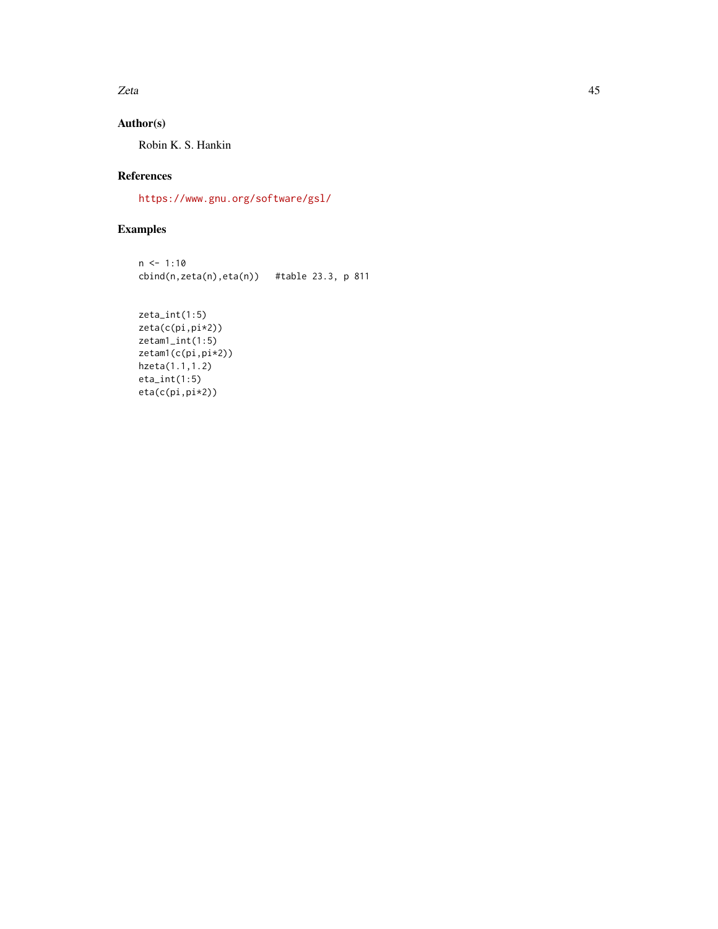$Zeta$  and  $45$ 

# Author(s)

Robin K. S. Hankin

# References

<https://www.gnu.org/software/gsl/>

# Examples

```
n < -1:10cbind(n,zeta(n),eta(n)) #table 23.3, p 811
```
zeta\_int(1:5) zeta(c(pi,pi\*2)) zetam1\_int(1:5) zetam1(c(pi,pi\*2)) hzeta(1.1,1.2) eta\_int(1:5) eta(c(pi,pi\*2))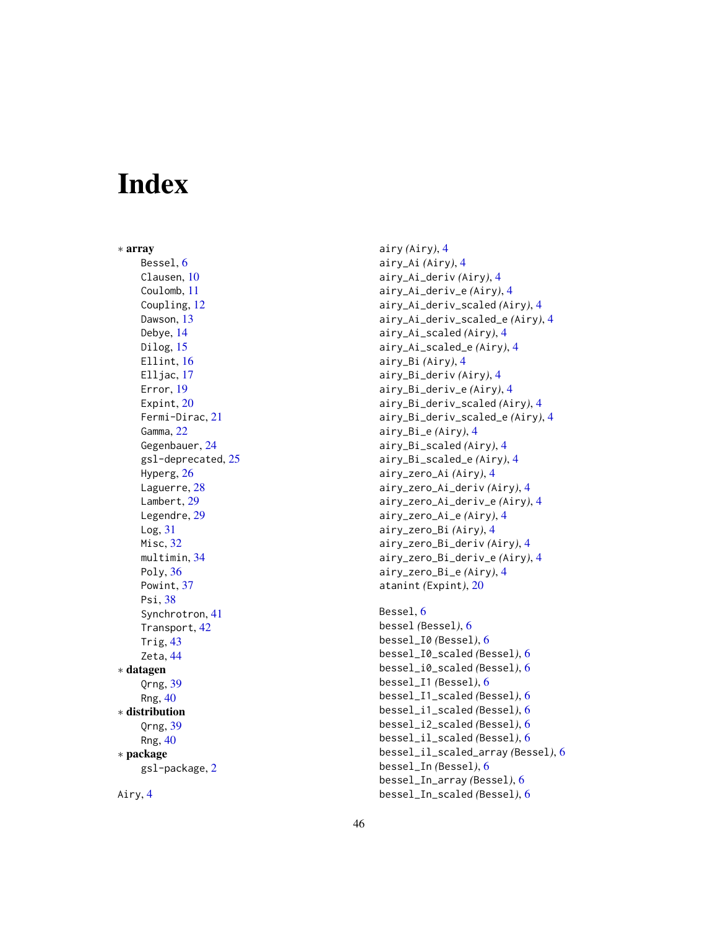# <span id="page-45-0"></span>**Index**

∗ array Bessel, <mark>[6](#page-5-0)</mark> Clausen, [10](#page-9-0) Coulomb , [11](#page-10-0) Coupling , [12](#page-11-0) Dawson, [13](#page-12-0) Debye , [14](#page-13-0) Dilog, [15](#page-14-0) Ellint, [16](#page-15-0) Elljac, [17](#page-16-0) Error , [19](#page-18-0) Expint, [20](#page-19-0) Fermi-Dirac , [21](#page-20-0) Gamma, [22](#page-21-0) Gegenbauer , [24](#page-23-0) gsl-deprecated , [25](#page-24-0) Hyperg, [26](#page-25-0) Laguerre, [28](#page-27-0) Lambert, [29](#page-28-0) Legendre, [29](#page-28-0) Log , [31](#page-30-0) Misc, [32](#page-31-0) multimin , [34](#page-33-0) Poly, [36](#page-35-0) Powint, [37](#page-36-0) Psi , [38](#page-37-0) Synchrotron , [41](#page-40-0) Transport , [42](#page-41-0) Trig , [43](#page-42-0) Zeta , [44](#page-43-0) ∗ datagen Qrng , [39](#page-38-0) Rng , [40](#page-39-0) ∗ distribution Qrng , [39](#page-38-0) Rng , [40](#page-39-0) ∗ package gsl-package, [2](#page-1-0)

Airy , [4](#page-3-0)

airy *(*Airy *)* , [4](#page-3-0) airy\_Ai *(*Airy *)* , [4](#page-3-0) airy\_Ai\_deriv *(*Airy *)* , [4](#page-3-0) airy\_Ai\_deriv\_e *(*Airy *)* , [4](#page-3-0) airy\_Ai\_deriv\_scaled *(*Airy *)* , [4](#page-3-0) airy\_Ai\_deriv\_scaled\_e *(*Airy *)* , [4](#page-3-0) airy\_Ai\_scaled *(*Airy *)* , [4](#page-3-0) airy\_Ai\_scaled\_e *(*Airy *)* , [4](#page-3-0) airy\_Bi *(*Airy *)* , [4](#page-3-0) airy\_Bi\_deriv *(*Airy *)* , [4](#page-3-0) airy\_Bi\_deriv\_e *(*Airy *)* , [4](#page-3-0) airy\_Bi\_deriv\_scaled *(*Airy *)* , [4](#page-3-0) airy\_Bi\_deriv\_scaled\_e *(*Airy *)* , [4](#page-3-0) airy\_Bi\_e *(*Airy *)* , [4](#page-3-0) airy\_Bi\_scaled *(*Airy *)* , [4](#page-3-0) airy\_Bi\_scaled\_e *(*Airy *)* , [4](#page-3-0) airy\_zero\_Ai *(*Airy *)* , [4](#page-3-0) airy\_zero\_Ai\_deriv *(*Airy *)* , [4](#page-3-0) airy\_zero\_Ai\_deriv\_e *(*Airy *)* , [4](#page-3-0) airy\_zero\_Ai\_e *(*Airy *)* , [4](#page-3-0) airy\_zero\_Bi *(*Airy *)* , [4](#page-3-0) airy\_zero\_Bi\_deriv *(*Airy *)* , [4](#page-3-0) airy\_zero\_Bi\_deriv\_e *(*Airy *)* , [4](#page-3-0) airy\_zero\_Bi\_e *(*Airy *)* , [4](#page-3-0) atanint *(*Expint *)* , [20](#page-19-0)

```
6</mark>
bessel
(Bessel
)
,
6
bessel_I0
(Bessel
)
,
6
bessel_I0_scaled
(Bessel
)
,
6
bessel_i0_scaled
(Bessel
)
,
6
bessel_I1
(Bessel
)
,
6
bessel_I1_scaled
(Bessel
)
,
6
bessel_i1_scaled
(Bessel
)
,
6
bessel_i2_scaled
(Bessel
)
,
6
bessel_il_scaled
(Bessel
)
,
6
bessel_il_scaled_array
(Bessel
)
,
6
bessel_In
(Bessel
)
,
6
bessel_In_array
(Bessel
)
,
6
bessel_In_scaled
(Bessel
)
,
6
```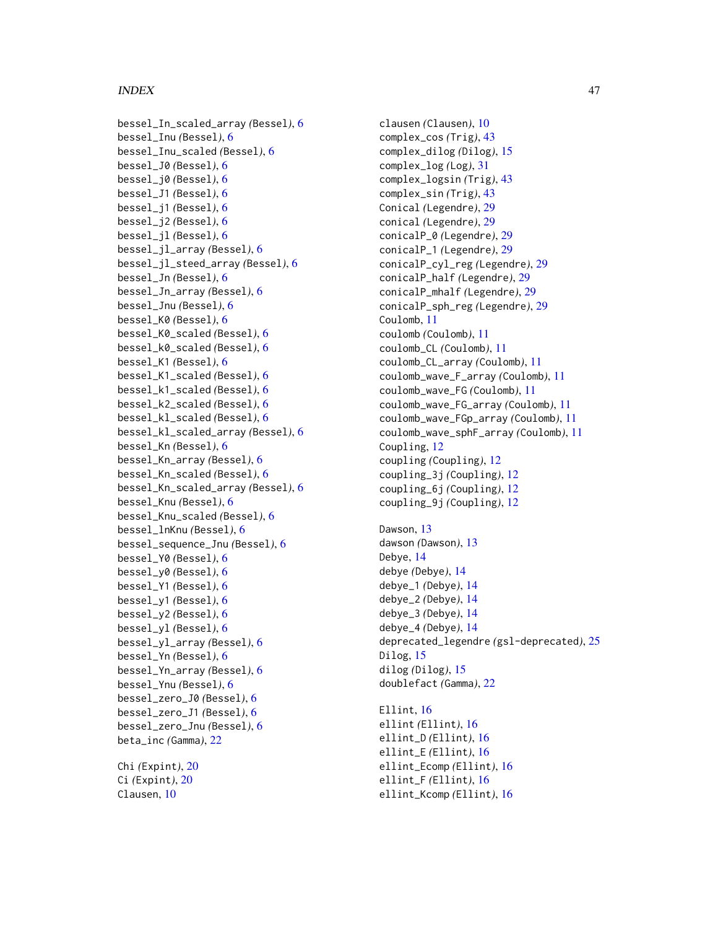bessel\_In\_scaled\_array *(*Bessel*)*, [6](#page-5-0) bessel\_Inu *(*Bessel*)*, [6](#page-5-0) bessel\_Inu\_scaled *(*Bessel*)*, [6](#page-5-0) bessel\_J0 *(*Bessel*)*, [6](#page-5-0) bessel\_j0 *(*Bessel*)*, [6](#page-5-0) bessel\_J1 *(*Bessel*)*, [6](#page-5-0) bessel\_j1 *(*Bessel*)*, [6](#page-5-0) bessel\_j2 *(*Bessel*)*, [6](#page-5-0) bessel\_jl *(*Bessel*)*, [6](#page-5-0) bessel\_jl\_array *(*Bessel*)*, [6](#page-5-0) bessel\_jl\_steed\_array *(*Bessel*)*, [6](#page-5-0) bessel\_Jn *(*Bessel*)*, [6](#page-5-0) bessel\_Jn\_array *(*Bessel*)*, [6](#page-5-0) bessel\_Jnu *(*Bessel*)*, [6](#page-5-0) bessel\_K0 *(*Bessel*)*, [6](#page-5-0) bessel\_K0\_scaled *(*Bessel*)*, [6](#page-5-0) bessel\_k0\_scaled *(*Bessel*)*, [6](#page-5-0) bessel\_K1 *(*Bessel*)*, [6](#page-5-0) bessel\_K1\_scaled *(*Bessel*)*, [6](#page-5-0) bessel\_k1\_scaled *(*Bessel*)*, [6](#page-5-0) bessel\_k2\_scaled *(*Bessel*)*, [6](#page-5-0) bessel\_kl\_scaled *(*Bessel*)*, [6](#page-5-0) bessel\_kl\_scaled\_array *(*Bessel*)*, [6](#page-5-0) bessel\_Kn *(*Bessel*)*, [6](#page-5-0) bessel\_Kn\_array *(*Bessel*)*, [6](#page-5-0) bessel\_Kn\_scaled *(*Bessel*)*, [6](#page-5-0) bessel\_Kn\_scaled\_array *(*Bessel*)*, [6](#page-5-0) bessel\_Knu *(*Bessel*)*, [6](#page-5-0) bessel\_Knu\_scaled *(*Bessel*)*, [6](#page-5-0) bessel\_lnKnu *(*Bessel*)*, [6](#page-5-0) bessel\_sequence\_Jnu *(*Bessel*)*, [6](#page-5-0) bessel\_Y0 *(*Bessel*)*, [6](#page-5-0) bessel\_y0 *(*Bessel*)*, [6](#page-5-0) bessel\_Y1 *(*Bessel*)*, [6](#page-5-0) bessel\_y1 *(*Bessel*)*, [6](#page-5-0) bessel\_y2 *(*Bessel*)*, [6](#page-5-0) bessel\_yl *(*Bessel*)*, [6](#page-5-0) bessel\_yl\_array *(*Bessel*)*, [6](#page-5-0) bessel\_Yn *(*Bessel*)*, [6](#page-5-0) bessel\_Yn\_array *(*Bessel*)*, [6](#page-5-0) bessel\_Ynu *(*Bessel*)*, [6](#page-5-0) bessel\_zero\_J0 *(*Bessel*)*, [6](#page-5-0) bessel\_zero\_J1 *(*Bessel*)*, [6](#page-5-0) bessel\_zero\_Jnu *(*Bessel*)*, [6](#page-5-0) beta\_inc *(*Gamma*)*, [22](#page-21-0) Chi *(*Expint*)*, [20](#page-19-0)

Ci *(*Expint*)*, [20](#page-19-0) Clausen, [10](#page-9-0)

clausen *(*Clausen*)*, [10](#page-9-0) complex\_cos *(*Trig*)*, [43](#page-42-0) complex\_dilog *(*Dilog*)*, [15](#page-14-0) complex\_log *(*Log*)*, [31](#page-30-0) complex\_logsin *(*Trig*)*, [43](#page-42-0) complex\_sin *(*Trig*)*, [43](#page-42-0) Conical *(*Legendre*)*, [29](#page-28-0) conical *(*Legendre*)*, [29](#page-28-0) conicalP\_0 *(*Legendre*)*, [29](#page-28-0) conicalP\_1 *(*Legendre*)*, [29](#page-28-0) conicalP\_cyl\_reg *(*Legendre*)*, [29](#page-28-0) conicalP\_half *(*Legendre*)*, [29](#page-28-0) conicalP\_mhalf *(*Legendre*)*, [29](#page-28-0) conicalP\_sph\_reg *(*Legendre*)*, [29](#page-28-0) Coulomb, [11](#page-10-0) coulomb *(*Coulomb*)*, [11](#page-10-0) coulomb\_CL *(*Coulomb*)*, [11](#page-10-0) coulomb\_CL\_array *(*Coulomb*)*, [11](#page-10-0) coulomb\_wave\_F\_array *(*Coulomb*)*, [11](#page-10-0) coulomb\_wave\_FG *(*Coulomb*)*, [11](#page-10-0) coulomb\_wave\_FG\_array *(*Coulomb*)*, [11](#page-10-0) coulomb\_wave\_FGp\_array *(*Coulomb*)*, [11](#page-10-0) coulomb\_wave\_sphF\_array *(*Coulomb*)*, [11](#page-10-0) Coupling, [12](#page-11-0) coupling *(*Coupling*)*, [12](#page-11-0) coupling\_3j *(*Coupling*)*, [12](#page-11-0) coupling\_6j *(*Coupling*)*, [12](#page-11-0) coupling\_9j *(*Coupling*)*, [12](#page-11-0) Dawson, [13](#page-12-0) dawson *(*Dawson*)*, [13](#page-12-0) Debye, [14](#page-13-0)

debye *(*Debye*)*, [14](#page-13-0) debye\_1 *(*Debye*)*, [14](#page-13-0) debye\_2 *(*Debye*)*, [14](#page-13-0) debye\_3 *(*Debye*)*, [14](#page-13-0) debye\_4 *(*Debye*)*, [14](#page-13-0) deprecated\_legendre *(*gsl-deprecated*)*, [25](#page-24-0) Dilog, [15](#page-14-0) dilog *(*Dilog*)*, [15](#page-14-0) doublefact *(*Gamma*)*, [22](#page-21-0)

Ellint, [16](#page-15-0) ellint *(*Ellint*)*, [16](#page-15-0) ellint\_D *(*Ellint*)*, [16](#page-15-0) ellint\_E *(*Ellint*)*, [16](#page-15-0) ellint\_Ecomp *(*Ellint*)*, [16](#page-15-0) ellint\_F *(*Ellint*)*, [16](#page-15-0) ellint\_Kcomp *(*Ellint*)*, [16](#page-15-0)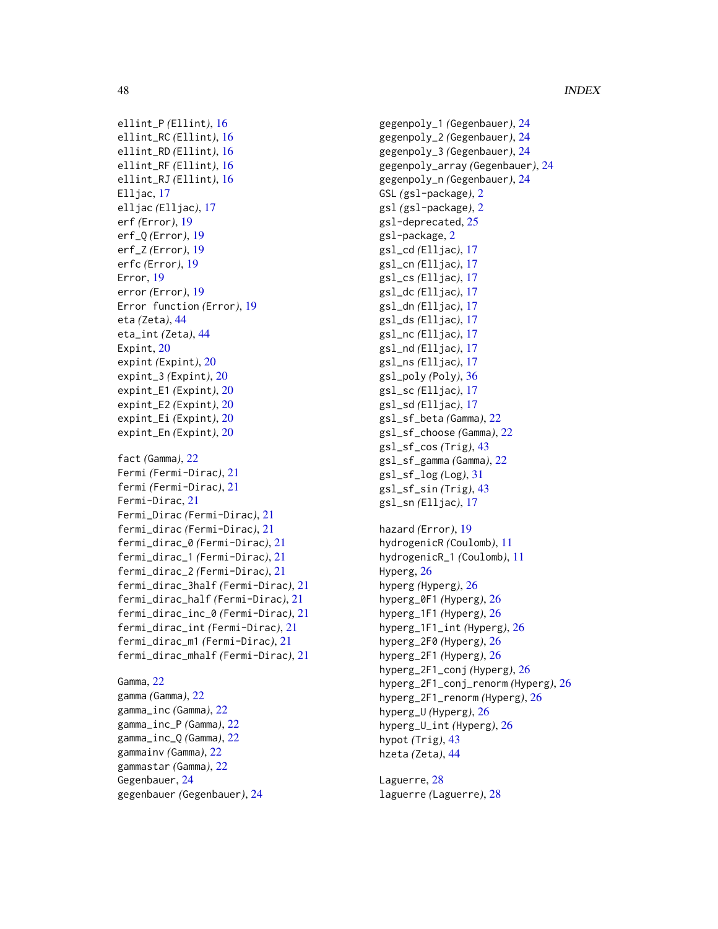```
ellint_P (Ellint), 16
ellint_RC (Ellint), 16
ellint_RD (Ellint), 16
ellint_RF (Ellint), 16
ellint_RJ (Ellint), 16
Elljac, 17
elljac (Elljac), 17
erf (Error), 19
erf_Q (Error), 19
erf_Z (Error), 19
erfc (Error), 19
Error, 19
error (Error), 19
Error function (Error), 19
eta (Zeta), 44
eta_int (Zeta), 44
Expint, 20
expint (Expint), 20
expint_3 (Expint), 20
expint_E1 (Expint), 20
expint_E2 (Expint), 20
expint_Ei (Expint), 20
expint_En (Expint), 20
fact (Gamma), 22
Fermi (Fermi-Dirac), 21
fermi (Fermi-Dirac), 21
Fermi-Dirac, 21
Fermi_Dirac (Fermi-Dirac), 21
fermi_dirac (Fermi-Dirac), 21
fermi_dirac_0 (Fermi-Dirac), 21
fermi_dirac_1 (Fermi-Dirac), 21
fermi_dirac_2 (Fermi-Dirac), 21
fermi_dirac_3half (Fermi-Dirac), 21
fermi_dirac_half (Fermi-Dirac), 21
fermi_dirac_inc_0 (Fermi-Dirac), 21
fermi_dirac_int (Fermi-Dirac), 21
fermi_dirac_m1 (Fermi-Dirac), 21
fermi_dirac_mhalf (Fermi-Dirac), 21
```

```
Gamma, 22
gamma (Gamma), 22
gamma_inc (Gamma), 22
gamma_inc_P (Gamma), 22
gamma_inc_Q (Gamma), 22
gammainv (Gamma), 22
gammastar (Gamma), 22
Gegenbauer, 24
gegenbauer (Gegenbauer), 24
```
gegenpoly\_1 *(*Gegenbauer*)*, [24](#page-23-0) gegenpoly\_2 *(*Gegenbauer*)*, [24](#page-23-0) gegenpoly\_3 *(*Gegenbauer*)*, [24](#page-23-0) gegenpoly\_array *(*Gegenbauer*)*, [24](#page-23-0) gegenpoly\_n *(*Gegenbauer*)*, [24](#page-23-0) GSL *(*gsl-package*)*, [2](#page-1-0) gsl *(*gsl-package*)*, [2](#page-1-0) gsl-deprecated, [25](#page-24-0) gsl-package, [2](#page-1-0) gsl\_cd *(*Elljac*)*, [17](#page-16-0) gsl\_cn *(*Elljac*)*, [17](#page-16-0) gsl\_cs *(*Elljac*)*, [17](#page-16-0) gsl\_dc *(*Elljac*)*, [17](#page-16-0) gsl\_dn *(*Elljac*)*, [17](#page-16-0) gsl\_ds *(*Elljac*)*, [17](#page-16-0) gsl\_nc *(*Elljac*)*, [17](#page-16-0) gsl\_nd *(*Elljac*)*, [17](#page-16-0) gsl\_ns *(*Elljac*)*, [17](#page-16-0) gsl\_poly *(*Poly*)*, [36](#page-35-0) gsl\_sc *(*Elljac*)*, [17](#page-16-0) gsl\_sd *(*Elljac*)*, [17](#page-16-0) gsl\_sf\_beta *(*Gamma*)*, [22](#page-21-0) gsl\_sf\_choose *(*Gamma*)*, [22](#page-21-0) gsl\_sf\_cos *(*Trig*)*, [43](#page-42-0) gsl\_sf\_gamma *(*Gamma*)*, [22](#page-21-0) gsl\_sf\_log *(*Log*)*, [31](#page-30-0) gsl\_sf\_sin *(*Trig*)*, [43](#page-42-0) gsl\_sn *(*Elljac*)*, [17](#page-16-0) hazard *(*Error*)*, [19](#page-18-0) hydrogenicR *(*Coulomb*)*, [11](#page-10-0) hydrogenicR\_1 *(*Coulomb*)*, [11](#page-10-0) Hyperg, [26](#page-25-0) hyperg *(*Hyperg*)*, [26](#page-25-0) hyperg\_0F1 *(*Hyperg*)*, [26](#page-25-0) hyperg\_1F1 *(*Hyperg*)*, [26](#page-25-0) hyperg\_1F1\_int *(*Hyperg*)*, [26](#page-25-0) hyperg\_2F0 *(*Hyperg*)*, [26](#page-25-0) hyperg\_2F1 *(*Hyperg*)*, [26](#page-25-0) hyperg\_2F1\_conj *(*Hyperg*)*, [26](#page-25-0) hyperg\_2F1\_conj\_renorm *(*Hyperg*)*, [26](#page-25-0) hyperg\_2F1\_renorm *(*Hyperg*)*, [26](#page-25-0) hyperg\_U *(*Hyperg*)*, [26](#page-25-0) hyperg\_U\_int *(*Hyperg*)*, [26](#page-25-0) hypot *(*Trig*)*, [43](#page-42-0) hzeta *(*Zeta*)*, [44](#page-43-0)

Laguerre, [28](#page-27-0) laguerre *(*Laguerre*)*, [28](#page-27-0)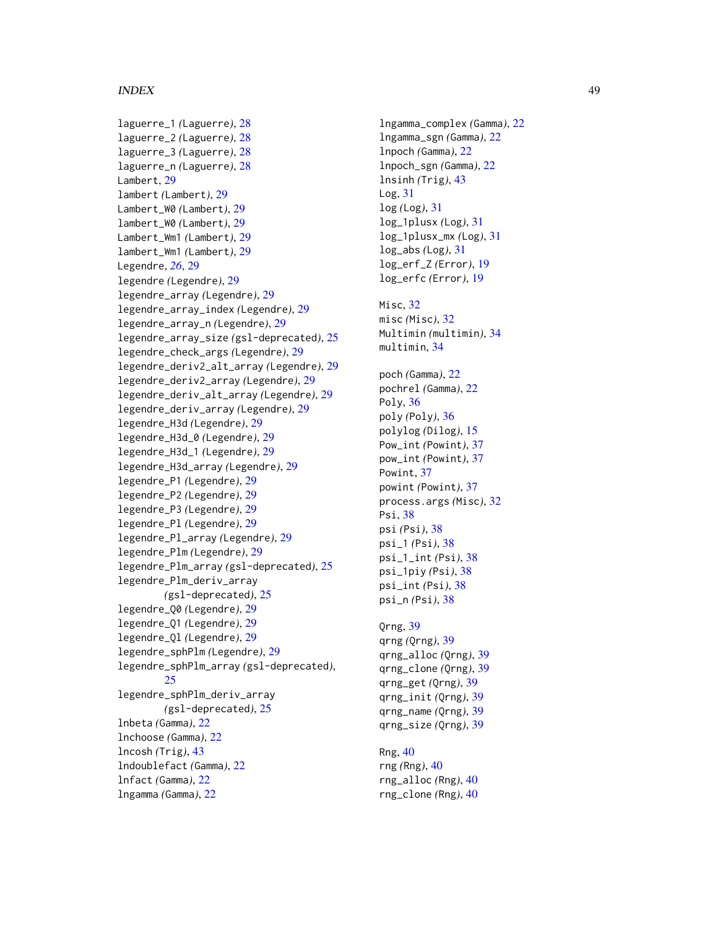laguerre\_1 *(*Laguerre *)* , [28](#page-27-0) laguerre\_2 *(*Laguerre *)* , [28](#page-27-0) laguerre\_3 *(*Laguerre *)* , [28](#page-27-0) laguerre\_n *(*Laguerre *)* , [28](#page-27-0) Lambert, [29](#page-28-0) lambert *(*Lambert *)* , [29](#page-28-0) Lambert\_W0 *(*Lambert *)* , [29](#page-28-0) lambert\_W0 *(*Lambert *)* , [29](#page-28-0) Lambert\_Wm1 (Lambert), [29](#page-28-0) lambert\_Wm1 *(*Lambert *)* , [29](#page-28-0) Legendre, [26](#page-25-0), [29](#page-28-0) legendre *(*Legendre *)* , [29](#page-28-0) legendre\_array *(*Legendre *)* , [29](#page-28-0) legendre\_array\_index *(*Legendre *)* , [29](#page-28-0) legendre\_array\_n *(*Legendre *)* , [29](#page-28-0) legendre\_array\_size *(*gsl-deprecated *)* , [25](#page-24-0) legendre\_check\_args *(*Legendre *)* , [29](#page-28-0) legendre\_deriv2\_alt\_array *(*Legendre *)* , [29](#page-28-0) legendre\_deriv2\_array *(*Legendre *)* , [29](#page-28-0) legendre\_deriv\_alt\_array *(*Legendre *)* , [29](#page-28-0) legendre\_deriv\_array *(*Legendre *)* , [29](#page-28-0) legendre\_H3d *(*Legendre *)* , [29](#page-28-0) legendre\_H3d\_0 *(*Legendre *)* , [29](#page-28-0) legendre\_H3d\_1 *(*Legendre *)* , [29](#page-28-0) legendre\_H3d\_array *(*Legendre *)* , [29](#page-28-0) legendre\_P1 *(*Legendre *)* , [29](#page-28-0) legendre\_P2 *(*Legendre *)* , [29](#page-28-0) legendre\_P3 *(*Legendre *)* , [29](#page-28-0) legendre\_Pl *(*Legendre *)* , [29](#page-28-0) legendre\_Pl\_array *(*Legendre *)* , [29](#page-28-0) legendre\_Plm *(*Legendre *)* , [29](#page-28-0) legendre\_Plm\_array *(*gsl-deprecated *)* , [25](#page-24-0) legendre\_Plm\_deriv\_array *(*gsl-deprecated*)*, [25](#page-24-0) legendre\_Q0 *(*Legendre *)* , [29](#page-28-0) legendre\_Q1 *(*Legendre *)* , [29](#page-28-0) legendre\_Ql *(*Legendre *)* , [29](#page-28-0) legendre\_sphPlm *(*Legendre *)* , [29](#page-28-0) legendre\_sphPlm\_array *(*gsl-deprecated *)* , [25](#page-24-0) legendre\_sphPlm\_deriv\_array *(*gsl-deprecated*)*, [25](#page-24-0) lnbeta *(*Gamma *)* , [22](#page-21-0) lnchoose *(*Gamma *)* , [22](#page-21-0) lncosh *(*Trig *)* , [43](#page-42-0) lndoublefact *(*Gamma *)* , [22](#page-21-0) lnfact *(*Gamma *)* , [22](#page-21-0) lngamma *(*Gamma *)* , [22](#page-21-0)

lngamma\_complex *(*Gamma *)* , [22](#page-21-0) lngamma\_sgn *(*Gamma *)* , [22](#page-21-0) lnpoch *(*Gamma *)* , [22](#page-21-0) lnpoch\_sgn *(*Gamma *)* , [22](#page-21-0) lnsinh *(*Trig *)* , [43](#page-42-0) Log , [31](#page-30-0) log *(*Log *)* , [31](#page-30-0) log\_1plusx *(*Log *)* , [31](#page-30-0) log\_1plusx\_mx *(*Log *)* , [31](#page-30-0) log\_abs *(*Log *)* , [31](#page-30-0) log\_erf\_Z *(*Error *)* , [19](#page-18-0) log\_erfc *(*Error *)* , [19](#page-18-0) Misc, [32](#page-31-0) misc *(*Misc *)* , [32](#page-31-0) Multimin *(*multimin *)* , [34](#page-33-0) multimin , [34](#page-33-0) poch *(*Gamma *)* , [22](#page-21-0) pochrel *(*Gamma *)* , [22](#page-21-0) Poly , [36](#page-35-0) poly *(*Poly *)* , [36](#page-35-0) polylog *(*Dilog *)* , [15](#page-14-0) Pow\_int *(*Powint *)* , [37](#page-36-0) pow\_int *(*Powint *)* , [37](#page-36-0) Powint, [37](#page-36-0) powint *(*Powint *)* , [37](#page-36-0) process.args *(*Misc *)* , [32](#page-31-0) Psi, <mark>[38](#page-37-0)</mark> psi *(*Psi *)* , [38](#page-37-0) psi\_1 *(*Psi *)* , [38](#page-37-0) psi\_1\_int *(*Psi *)* , [38](#page-37-0) psi\_1piy *(*Psi *)* , [38](#page-37-0) psi\_int *(*Psi *)* , [38](#page-37-0) psi\_n *(*Psi *)* , [38](#page-37-0) Qrng , [39](#page-38-0) qrng *(*Qrng *)* , [39](#page-38-0) qrng\_alloc *(*Qrng *)* , [39](#page-38-0) qrng\_clone *(*Qrng *)* , [39](#page-38-0) qrng\_get *(*Qrng *)* , [39](#page-38-0) qrng\_init *(*Qrng *)* , [39](#page-38-0) qrng\_name *(*Qrng *)* , [39](#page-38-0) qrng\_size *(*Qrng *)* , [39](#page-38-0)

Rng , [40](#page-39-0) rng *(*Rng *)* , [40](#page-39-0) rng\_alloc *(*Rng *)* , [40](#page-39-0) rng\_clone *(*Rng *)* , [40](#page-39-0)